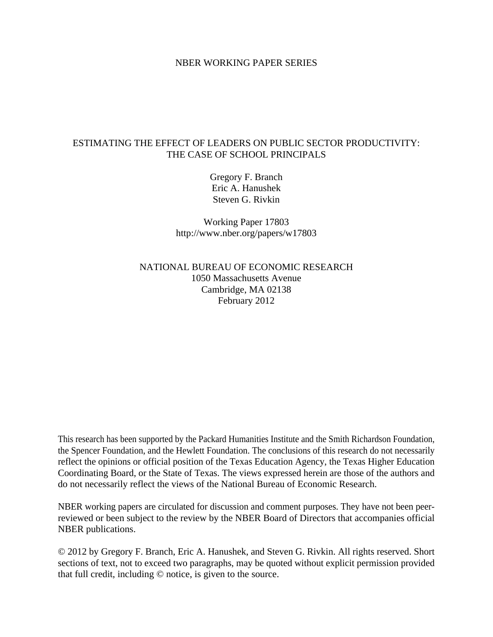#### NBER WORKING PAPER SERIES

### ESTIMATING THE EFFECT OF LEADERS ON PUBLIC SECTOR PRODUCTIVITY: THE CASE OF SCHOOL PRINCIPALS

Gregory F. Branch Eric A. Hanushek Steven G. Rivkin

Working Paper 17803 http://www.nber.org/papers/w17803

NATIONAL BUREAU OF ECONOMIC RESEARCH 1050 Massachusetts Avenue Cambridge, MA 02138 February 2012

This research has been supported by the Packard Humanities Institute and the Smith Richardson Foundation, the Spencer Foundation, and the Hewlett Foundation. The conclusions of this research do not necessarily reflect the opinions or official position of the Texas Education Agency, the Texas Higher Education Coordinating Board, or the State of Texas. The views expressed herein are those of the authors and do not necessarily reflect the views of the National Bureau of Economic Research.

NBER working papers are circulated for discussion and comment purposes. They have not been peerreviewed or been subject to the review by the NBER Board of Directors that accompanies official NBER publications.

© 2012 by Gregory F. Branch, Eric A. Hanushek, and Steven G. Rivkin. All rights reserved. Short sections of text, not to exceed two paragraphs, may be quoted without explicit permission provided that full credit, including © notice, is given to the source.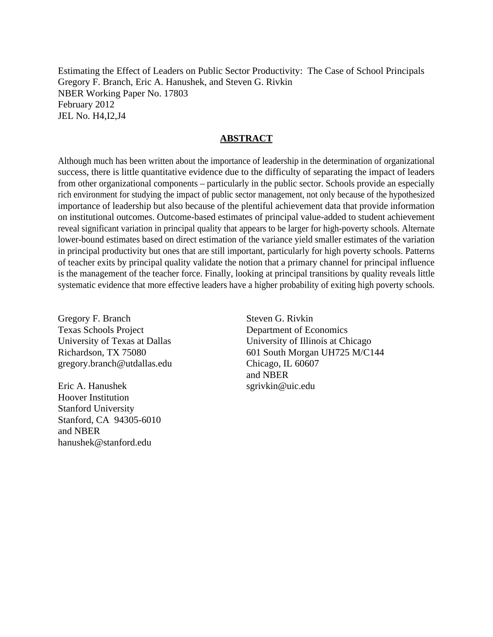Estimating the Effect of Leaders on Public Sector Productivity: The Case of School Principals Gregory F. Branch, Eric A. Hanushek, and Steven G. Rivkin NBER Working Paper No. 17803 February 2012 JEL No. H4,I2,J4

### **ABSTRACT**

Although much has been written about the importance of leadership in the determination of organizational success, there is little quantitative evidence due to the difficulty of separating the impact of leaders from other organizational components – particularly in the public sector. Schools provide an especially rich environment for studying the impact of public sector management, not only because of the hypothesized importance of leadership but also because of the plentiful achievement data that provide information on institutional outcomes. Outcome-based estimates of principal value-added to student achievement reveal significant variation in principal quality that appears to be larger for high-poverty schools. Alternate lower-bound estimates based on direct estimation of the variance yield smaller estimates of the variation in principal productivity but ones that are still important, particularly for high poverty schools. Patterns of teacher exits by principal quality validate the notion that a primary channel for principal influence is the management of the teacher force. Finally, looking at principal transitions by quality reveals little systematic evidence that more effective leaders have a higher probability of exiting high poverty schools.

Gregory F. Branch Texas Schools Project University of Texas at Dallas Richardson, TX 75080 gregory.branch@utdallas.edu

Eric A. Hanushek Hoover Institution Stanford University Stanford, CA 94305-6010 and NBER hanushek@stanford.edu

Steven G. Rivkin Department of Economics University of Illinois at Chicago 601 South Morgan UH725 M/C144 Chicago, IL 60607 and NBER sgrivkin@uic.edu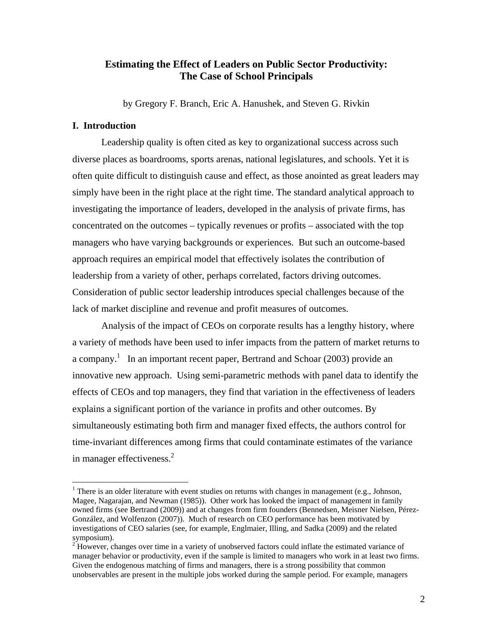### **Estimating the Effect of Leaders on Public Sector Productivity: The Case of School Principals**

by Gregory F. Branch, Eric A. Hanushek, and Steven G. Rivkin

### **I. Introduction**

 $\overline{a}$ 

Leadership quality is often cited as key to organizational success across such diverse places as boardrooms, sports arenas, national legislatures, and schools. Yet it is often quite difficult to distinguish cause and effect, as those anointed as great leaders may simply have been in the right place at the right time. The standard analytical approach to investigating the importance of leaders, developed in the analysis of private firms, has concentrated on the outcomes – typically revenues or profits – associated with the top managers who have varying backgrounds or experiences. But such an outcome-based approach requires an empirical model that effectively isolates the contribution of leadership from a variety of other, perhaps correlated, factors driving outcomes. Consideration of public sector leadership introduces special challenges because of the lack of market discipline and revenue and profit measures of outcomes.

Analysis of the impact of CEOs on corporate results has a lengthy history, where a variety of methods have been used to infer impacts from the pattern of market returns to a company.<sup>1</sup> In an important recent paper, Bertrand and Schoar (2003) provide an innovative new approach. Using semi-parametric methods with panel data to identify the effects of CEOs and top managers, they find that variation in the effectiveness of leaders explains a significant portion of the variance in profits and other outcomes. By simultaneously estimating both firm and manager fixed effects, the authors control for time-invariant differences among firms that could contaminate estimates of the variance in manager effectiveness. $2$ 

<sup>&</sup>lt;sup>1</sup> There is an older literature with event studies on returns with changes in management (e.g., Johnson, Magee, Nagarajan, and Newman (1985)). Other work has looked the impact of management in family owned firms (see Bertrand (2009)) and at changes from firm founders (Bennedsen, Meisner Nielsen, Pérez-González, and Wolfenzon (2007)). Much of research on CEO performance has been motivated by investigations of CEO salaries (see, for example, Englmaier, Illing, and Sadka (2009) and the related symposium).

<sup>&</sup>lt;sup>2</sup> However, changes over time in a variety of unobserved factors could inflate the estimated variance of manager behavior or productivity, even if the sample is limited to managers who work in at least two firms. Given the endogenous matching of firms and managers, there is a strong possibility that common unobservables are present in the multiple jobs worked during the sample period. For example, managers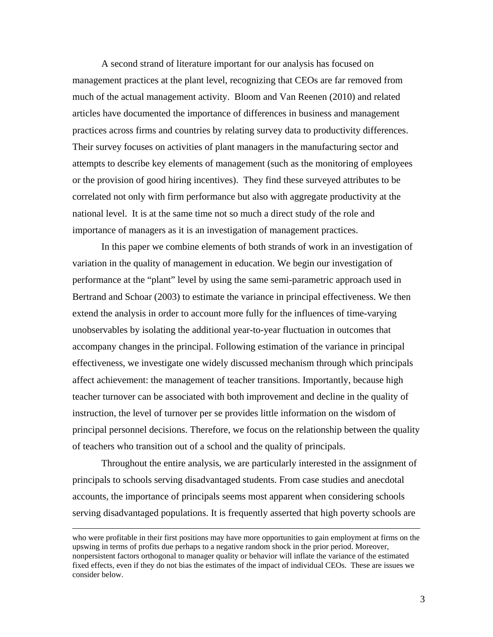A second strand of literature important for our analysis has focused on management practices at the plant level, recognizing that CEOs are far removed from much of the actual management activity. Bloom and Van Reenen (2010) and related articles have documented the importance of differences in business and management practices across firms and countries by relating survey data to productivity differences. Their survey focuses on activities of plant managers in the manufacturing sector and attempts to describe key elements of management (such as the monitoring of employees or the provision of good hiring incentives). They find these surveyed attributes to be correlated not only with firm performance but also with aggregate productivity at the national level. It is at the same time not so much a direct study of the role and importance of managers as it is an investigation of management practices.

In this paper we combine elements of both strands of work in an investigation of variation in the quality of management in education. We begin our investigation of performance at the "plant" level by using the same semi-parametric approach used in Bertrand and Schoar (2003) to estimate the variance in principal effectiveness. We then extend the analysis in order to account more fully for the influences of time-varying unobservables by isolating the additional year-to-year fluctuation in outcomes that accompany changes in the principal. Following estimation of the variance in principal effectiveness, we investigate one widely discussed mechanism through which principals affect achievement: the management of teacher transitions. Importantly, because high teacher turnover can be associated with both improvement and decline in the quality of instruction, the level of turnover per se provides little information on the wisdom of principal personnel decisions. Therefore, we focus on the relationship between the quality of teachers who transition out of a school and the quality of principals.

 Throughout the entire analysis, we are particularly interested in the assignment of principals to schools serving disadvantaged students. From case studies and anecdotal accounts, the importance of principals seems most apparent when considering schools serving disadvantaged populations. It is frequently asserted that high poverty schools are

who were profitable in their first positions may have more opportunities to gain employment at firms on the upswing in terms of profits due perhaps to a negative random shock in the prior period. Moreover, nonpersistent factors orthogonal to manager quality or behavior will inflate the variance of the estimated fixed effects, even if they do not bias the estimates of the impact of individual CEOs. These are issues we consider below.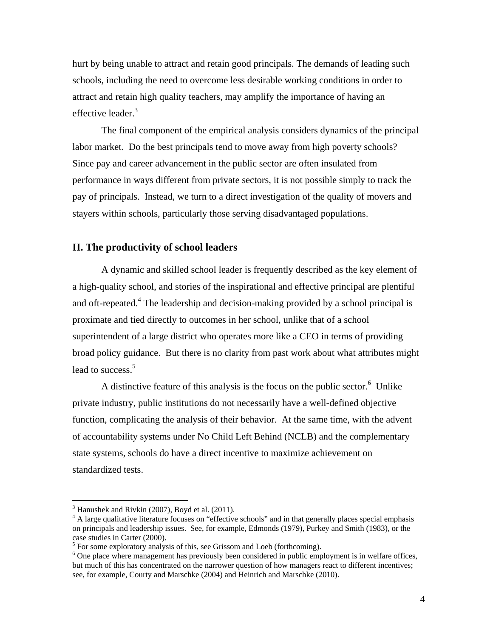hurt by being unable to attract and retain good principals. The demands of leading such schools, including the need to overcome less desirable working conditions in order to attract and retain high quality teachers, may amplify the importance of having an effective leader.<sup>3</sup>

The final component of the empirical analysis considers dynamics of the principal labor market. Do the best principals tend to move away from high poverty schools? Since pay and career advancement in the public sector are often insulated from performance in ways different from private sectors, it is not possible simply to track the pay of principals. Instead, we turn to a direct investigation of the quality of movers and stayers within schools, particularly those serving disadvantaged populations.

### **II. The productivity of school leaders**

A dynamic and skilled school leader is frequently described as the key element of a high-quality school, and stories of the inspirational and effective principal are plentiful and oft-repeated.<sup>4</sup> The leadership and decision-making provided by a school principal is proximate and tied directly to outcomes in her school, unlike that of a school superintendent of a large district who operates more like a CEO in terms of providing broad policy guidance. But there is no clarity from past work about what attributes might lead to success.<sup>5</sup>

A distinctive feature of this analysis is the focus on the public sector. <sup>6</sup> Unlike private industry, public institutions do not necessarily have a well-defined objective function, complicating the analysis of their behavior. At the same time, with the advent of accountability systems under No Child Left Behind (NCLB) and the complementary state systems, schools do have a direct incentive to maximize achievement on standardized tests.

 $3$  Hanushek and Rivkin (2007), Boyd et al. (2011).

<sup>&</sup>lt;sup>4</sup> A large qualitative literature focuses on "effective schools" and in that generally places special emphasis on principals and leadership issues. See, for example, Edmonds (1979), Purkey and Smith (1983), or the case studies in Carter (2000).

 $^5$  For some exploratory analysis of this, see Grissom and Loeb (forthcoming).

<sup>&</sup>lt;sup>6</sup> One place where management has previously been considered in public employment is in welfare offices, but much of this has concentrated on the narrower question of how managers react to different incentives; see, for example, Courty and Marschke (2004) and Heinrich and Marschke (2010).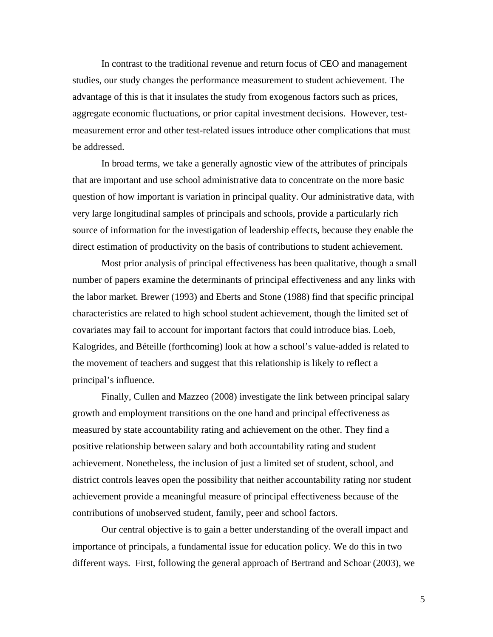In contrast to the traditional revenue and return focus of CEO and management studies, our study changes the performance measurement to student achievement. The advantage of this is that it insulates the study from exogenous factors such as prices, aggregate economic fluctuations, or prior capital investment decisions. However, testmeasurement error and other test-related issues introduce other complications that must be addressed.

In broad terms, we take a generally agnostic view of the attributes of principals that are important and use school administrative data to concentrate on the more basic question of how important is variation in principal quality. Our administrative data, with very large longitudinal samples of principals and schools, provide a particularly rich source of information for the investigation of leadership effects, because they enable the direct estimation of productivity on the basis of contributions to student achievement.

Most prior analysis of principal effectiveness has been qualitative, though a small number of papers examine the determinants of principal effectiveness and any links with the labor market. Brewer (1993) and Eberts and Stone (1988) find that specific principal characteristics are related to high school student achievement, though the limited set of covariates may fail to account for important factors that could introduce bias. Loeb, Kalogrides, and Béteille (forthcoming) look at how a school's value-added is related to the movement of teachers and suggest that this relationship is likely to reflect a principal's influence.

Finally, Cullen and Mazzeo (2008) investigate the link between principal salary growth and employment transitions on the one hand and principal effectiveness as measured by state accountability rating and achievement on the other. They find a positive relationship between salary and both accountability rating and student achievement. Nonetheless, the inclusion of just a limited set of student, school, and district controls leaves open the possibility that neither accountability rating nor student achievement provide a meaningful measure of principal effectiveness because of the contributions of unobserved student, family, peer and school factors.

Our central objective is to gain a better understanding of the overall impact and importance of principals, a fundamental issue for education policy. We do this in two different ways. First, following the general approach of Bertrand and Schoar (2003), we

5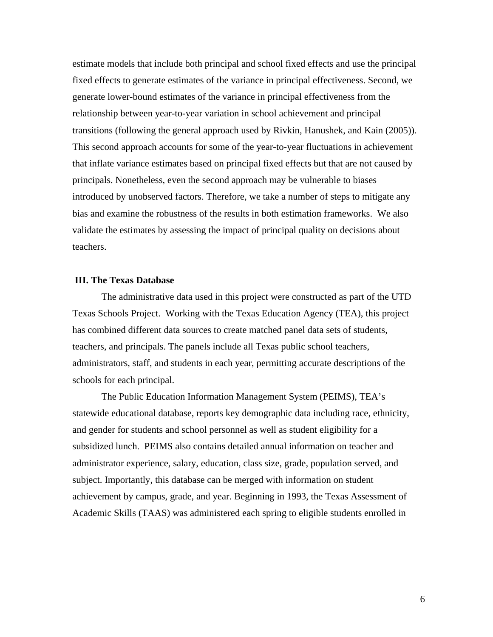estimate models that include both principal and school fixed effects and use the principal fixed effects to generate estimates of the variance in principal effectiveness. Second, we generate lower-bound estimates of the variance in principal effectiveness from the relationship between year-to-year variation in school achievement and principal transitions (following the general approach used by Rivkin, Hanushek, and Kain (2005)). This second approach accounts for some of the year-to-year fluctuations in achievement that inflate variance estimates based on principal fixed effects but that are not caused by principals. Nonetheless, even the second approach may be vulnerable to biases introduced by unobserved factors. Therefore, we take a number of steps to mitigate any bias and examine the robustness of the results in both estimation frameworks. We also validate the estimates by assessing the impact of principal quality on decisions about teachers.

### **III. The Texas Database**

The administrative data used in this project were constructed as part of the UTD Texas Schools Project. Working with the Texas Education Agency (TEA), this project has combined different data sources to create matched panel data sets of students, teachers, and principals. The panels include all Texas public school teachers, administrators, staff, and students in each year, permitting accurate descriptions of the schools for each principal.

The Public Education Information Management System (PEIMS), TEA's statewide educational database, reports key demographic data including race, ethnicity, and gender for students and school personnel as well as student eligibility for a subsidized lunch. PEIMS also contains detailed annual information on teacher and administrator experience, salary, education, class size, grade, population served, and subject. Importantly, this database can be merged with information on student achievement by campus, grade, and year. Beginning in 1993, the Texas Assessment of Academic Skills (TAAS) was administered each spring to eligible students enrolled in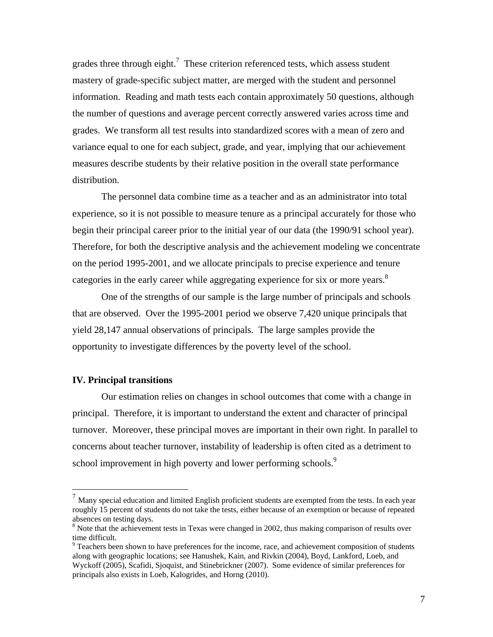grades three through eight.<sup>7</sup> These criterion referenced tests, which assess student mastery of grade-specific subject matter, are merged with the student and personnel information. Reading and math tests each contain approximately 50 questions, although the number of questions and average percent correctly answered varies across time and grades. We transform all test results into standardized scores with a mean of zero and variance equal to one for each subject, grade, and year, implying that our achievement measures describe students by their relative position in the overall state performance distribution.

The personnel data combine time as a teacher and as an administrator into total experience, so it is not possible to measure tenure as a principal accurately for those who begin their principal career prior to the initial year of our data (the 1990/91 school year). Therefore, for both the descriptive analysis and the achievement modeling we concentrate on the period 1995-2001, and we allocate principals to precise experience and tenure categories in the early career while aggregating experience for six or more years.<sup>8</sup>

One of the strengths of our sample is the large number of principals and schools that are observed. Over the 1995-2001 period we observe 7,420 unique principals that yield 28,147 annual observations of principals. The large samples provide the opportunity to investigate differences by the poverty level of the school.

#### **IV. Principal transitions**

 $\overline{a}$ 

 Our estimation relies on changes in school outcomes that come with a change in principal. Therefore, it is important to understand the extent and character of principal turnover. Moreover, these principal moves are important in their own right. In parallel to concerns about teacher turnover, instability of leadership is often cited as a detriment to school improvement in high poverty and lower performing schools.<sup>9</sup>

 $<sup>7</sup>$  Many special education and limited English proficient students are exempted from the tests. In each year</sup> roughly 15 percent of students do not take the tests, either because of an exemption or because of repeated absences on testing days. 8

 $\delta$  Note that the achievement tests in Texas were changed in 2002, thus making comparison of results over time difficult.

 $9^9$  Teachers been shown to have preferences for the income, race, and achievement composition of students along with geographic locations; see Hanushek, Kain, and Rivkin (2004), Boyd, Lankford, Loeb, and Wyckoff (2005), Scafidi, Sjoquist, and Stinebrickner (2007). Some evidence of similar preferences for principals also exists in Loeb, Kalogrides, and Horng (2010).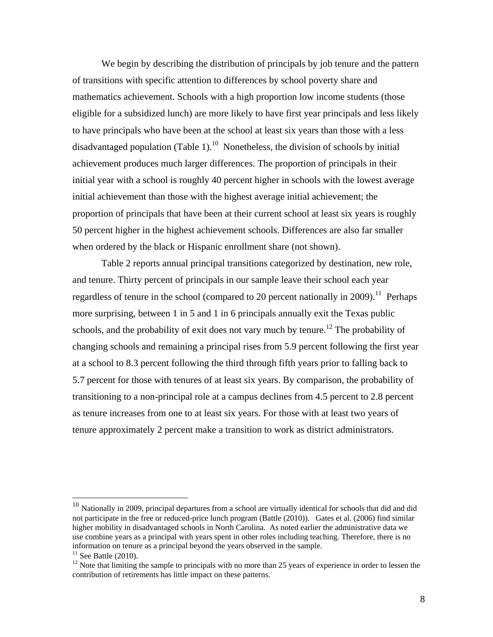We begin by describing the distribution of principals by job tenure and the pattern of transitions with specific attention to differences by school poverty share and mathematics achievement. Schools with a high proportion low income students (those eligible for a subsidized lunch) are more likely to have first year principals and less likely to have principals who have been at the school at least six years than those with a less disadvantaged population (Table 1).<sup>10</sup> Nonetheless, the division of schools by initial achievement produces much larger differences. The proportion of principals in their initial year with a school is roughly 40 percent higher in schools with the lowest average initial achievement than those with the highest average initial achievement; the proportion of principals that have been at their current school at least six years is roughly 50 percent higher in the highest achievement schools. Differences are also far smaller when ordered by the black or Hispanic enrollment share (not shown).

 Table 2 reports annual principal transitions categorized by destination, new role, and tenure. Thirty percent of principals in our sample leave their school each year regardless of tenure in the school (compared to 20 percent nationally in 2009).<sup>11</sup> Perhaps more surprising, between 1 in 5 and 1 in 6 principals annually exit the Texas public schools, and the probability of exit does not vary much by tenure.<sup>12</sup> The probability of changing schools and remaining a principal rises from 5.9 percent following the first year at a school to 8.3 percent following the third through fifth years prior to falling back to 5.7 percent for those with tenures of at least six years. By comparison, the probability of transitioning to a non-principal role at a campus declines from 4.5 percent to 2.8 percent as tenure increases from one to at least six years. For those with at least two years of tenure approximately 2 percent make a transition to work as district administrators.

<sup>&</sup>lt;sup>10</sup> Nationally in 2009, principal departures from a school are virtually identical for schools that did and did not participate in the free or reduced-price lunch program (Battle (2010)). Gates et al. (2006) find similar higher mobility in disadvantaged schools in North Carolina. As noted earlier the administrative data we use combine years as a principal with years spent in other roles including teaching. Therefore, there is no information on tenure as a principal beyond the years observed in the sample.

<sup>&</sup>lt;sup>11</sup> See Battle (2010).<br><sup>12</sup> Note that limiting the sample to principals with no more than 25 years of experience in order to lessen the contribution of retirements has little impact on these patterns.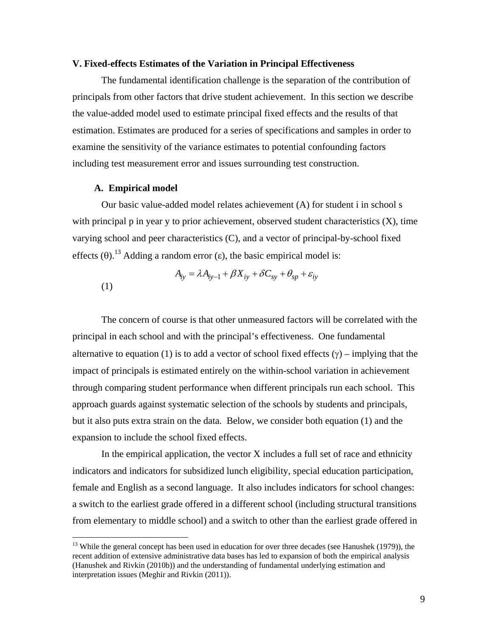#### **V. Fixed-effects Estimates of the Variation in Principal Effectiveness**

 The fundamental identification challenge is the separation of the contribution of principals from other factors that drive student achievement. In this section we describe the value-added model used to estimate principal fixed effects and the results of that estimation. Estimates are produced for a series of specifications and samples in order to examine the sensitivity of the variance estimates to potential confounding factors including test measurement error and issues surrounding test construction.

#### **A. Empirical model**

 $\overline{a}$ 

 Our basic value-added model relates achievement (A) for student i in school s with principal p in year y to prior achievement, observed student characteristics  $(X)$ , time varying school and peer characteristics (C), and a vector of principal-by-school fixed effects  $(\theta)$ .<sup>13</sup> Adding a random error (ε), the basic empirical model is:

$$
A_{iy} = \lambda A_{iy-1} + \beta X_{iy} + \delta C_{sy} + \theta_{sp} + \varepsilon_{iy}
$$
\n(1)

 The concern of course is that other unmeasured factors will be correlated with the principal in each school and with the principal's effectiveness. One fundamental alternative to equation (1) is to add a vector of school fixed effects  $(y)$  – implying that the impact of principals is estimated entirely on the within-school variation in achievement through comparing student performance when different principals run each school. This approach guards against systematic selection of the schools by students and principals, but it also puts extra strain on the data. Below, we consider both equation (1) and the expansion to include the school fixed effects.

 In the empirical application, the vector X includes a full set of race and ethnicity indicators and indicators for subsidized lunch eligibility, special education participation, female and English as a second language. It also includes indicators for school changes: a switch to the earliest grade offered in a different school (including structural transitions from elementary to middle school) and a switch to other than the earliest grade offered in

 $13$  While the general concept has been used in education for over three decades (see Hanushek (1979)), the recent addition of extensive administrative data bases has led to expansion of both the empirical analysis (Hanushek and Rivkin (2010b)) and the understanding of fundamental underlying estimation and interpretation issues (Meghir and Rivkin (2011)).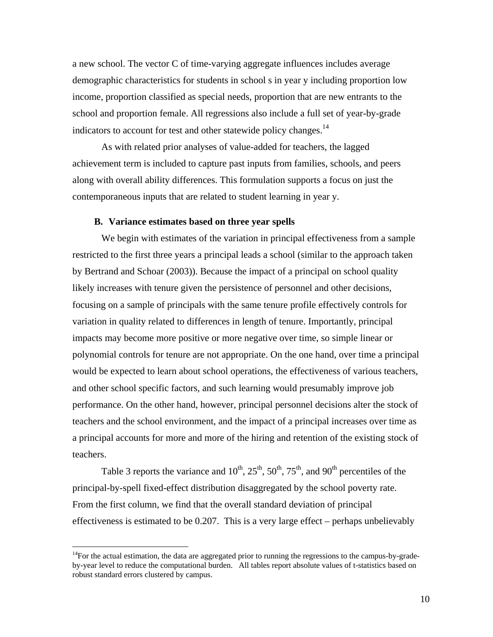a new school. The vector C of time-varying aggregate influences includes average demographic characteristics for students in school s in year y including proportion low income, proportion classified as special needs, proportion that are new entrants to the school and proportion female. All regressions also include a full set of year-by-grade indicators to account for test and other statewide policy changes.<sup>14</sup>

 As with related prior analyses of value-added for teachers, the lagged achievement term is included to capture past inputs from families, schools, and peers along with overall ability differences. This formulation supports a focus on just the contemporaneous inputs that are related to student learning in year y.

#### **B. Variance estimates based on three year spells**

 We begin with estimates of the variation in principal effectiveness from a sample restricted to the first three years a principal leads a school (similar to the approach taken by Bertrand and Schoar (2003)). Because the impact of a principal on school quality likely increases with tenure given the persistence of personnel and other decisions, focusing on a sample of principals with the same tenure profile effectively controls for variation in quality related to differences in length of tenure. Importantly, principal impacts may become more positive or more negative over time, so simple linear or polynomial controls for tenure are not appropriate. On the one hand, over time a principal would be expected to learn about school operations, the effectiveness of various teachers, and other school specific factors, and such learning would presumably improve job performance. On the other hand, however, principal personnel decisions alter the stock of teachers and the school environment, and the impact of a principal increases over time as a principal accounts for more and more of the hiring and retention of the existing stock of teachers.

Table 3 reports the variance and  $10^{th}$ ,  $25^{th}$ ,  $50^{th}$ ,  $75^{th}$ , and  $90^{th}$  percentiles of the principal-by-spell fixed-effect distribution disaggregated by the school poverty rate. From the first column, we find that the overall standard deviation of principal effectiveness is estimated to be 0.207. This is a very large effect – perhaps unbelievably

<sup>&</sup>lt;sup>14</sup>For the actual estimation, the data are aggregated prior to running the regressions to the campus-by-gradeby-year level to reduce the computational burden. All tables report absolute values of t-statistics based on robust standard errors clustered by campus.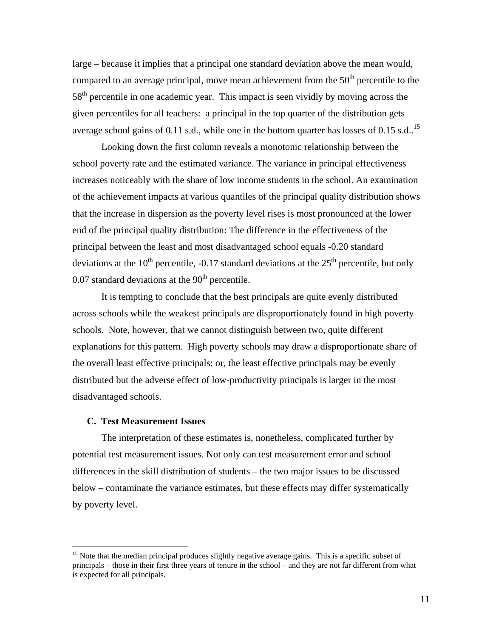large – because it implies that a principal one standard deviation above the mean would, compared to an average principal, move mean achievement from the  $50<sup>th</sup>$  percentile to the 58<sup>th</sup> percentile in one academic year. This impact is seen vividly by moving across the given percentiles for all teachers: a principal in the top quarter of the distribution gets average school gains of 0.11 s.d., while one in the bottom quarter has losses of 0.15 s.d..<sup>15</sup>

 Looking down the first column reveals a monotonic relationship between the school poverty rate and the estimated variance. The variance in principal effectiveness increases noticeably with the share of low income students in the school. An examination of the achievement impacts at various quantiles of the principal quality distribution shows that the increase in dispersion as the poverty level rises is most pronounced at the lower end of the principal quality distribution: The difference in the effectiveness of the principal between the least and most disadvantaged school equals -0.20 standard deviations at the  $10^{th}$  percentile, -0.17 standard deviations at the  $25^{th}$  percentile, but only  $0.07$  standard deviations at the  $90<sup>th</sup>$  percentile.

 It is tempting to conclude that the best principals are quite evenly distributed across schools while the weakest principals are disproportionately found in high poverty schools. Note, however, that we cannot distinguish between two, quite different explanations for this pattern. High poverty schools may draw a disproportionate share of the overall least effective principals; or, the least effective principals may be evenly distributed but the adverse effect of low-productivity principals is larger in the most disadvantaged schools.

#### **C. Test Measurement Issues**

 $\overline{a}$ 

The interpretation of these estimates is, nonetheless, complicated further by potential test measurement issues. Not only can test measurement error and school differences in the skill distribution of students – the two major issues to be discussed below – contaminate the variance estimates, but these effects may differ systematically by poverty level.

<sup>&</sup>lt;sup>15</sup> Note that the median principal produces slightly negative average gains. This is a specific subset of principals – those in their first three years of tenure in the school – and they are not far different from what is expected for all principals.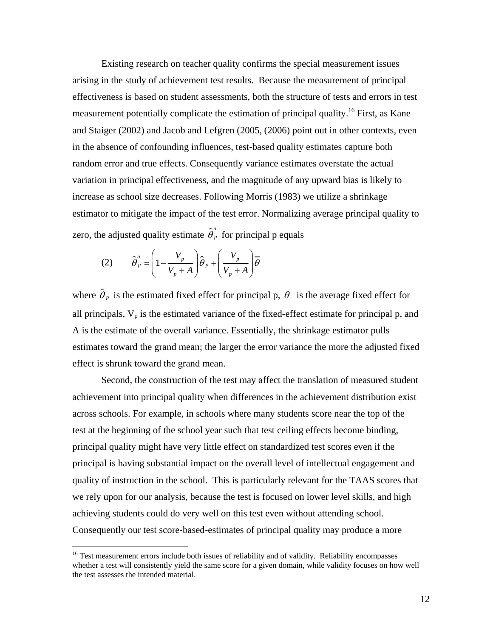Existing research on teacher quality confirms the special measurement issues arising in the study of achievement test results. Because the measurement of principal effectiveness is based on student assessments, both the structure of tests and errors in test measurement potentially complicate the estimation of principal quality.<sup>16</sup> First, as Kane and Staiger (2002) and Jacob and Lefgren (2005, (2006) point out in other contexts, even in the absence of confounding influences, test-based quality estimates capture both random error and true effects. Consequently variance estimates overstate the actual variation in principal effectiveness, and the magnitude of any upward bias is likely to increase as school size decreases. Following Morris (1983) we utilize a shrinkage estimator to mitigate the impact of the test error. Normalizing average principal quality to zero, the adjusted quality estimate  $\hat{\theta}_p^a$  for principal p equals

$$
(2) \qquad \hat{\theta}_p^a = \left(1 - \frac{V_p}{V_p + A}\right)\hat{\theta}_p + \left(\frac{V_p}{V_p + A}\right)\overline{\theta}
$$

 $\overline{a}$ 

where  $\hat{\theta}_p$  is the estimated fixed effect for principal p,  $\overline{\theta}$  is the average fixed effect for all principals,  $V_p$  is the estimated variance of the fixed-effect estimate for principal p, and A is the estimate of the overall variance. Essentially, the shrinkage estimator pulls estimates toward the grand mean; the larger the error variance the more the adjusted fixed effect is shrunk toward the grand mean.

 Second, the construction of the test may affect the translation of measured student achievement into principal quality when differences in the achievement distribution exist across schools. For example, in schools where many students score near the top of the test at the beginning of the school year such that test ceiling effects become binding, principal quality might have very little effect on standardized test scores even if the principal is having substantial impact on the overall level of intellectual engagement and quality of instruction in the school. This is particularly relevant for the TAAS scores that we rely upon for our analysis, because the test is focused on lower level skills, and high achieving students could do very well on this test even without attending school. Consequently our test score-based-estimates of principal quality may produce a more

<sup>&</sup>lt;sup>16</sup> Test measurement errors include both issues of reliability and of validity. Reliability encompasses whether a test will consistently yield the same score for a given domain, while validity focuses on how well the test assesses the intended material.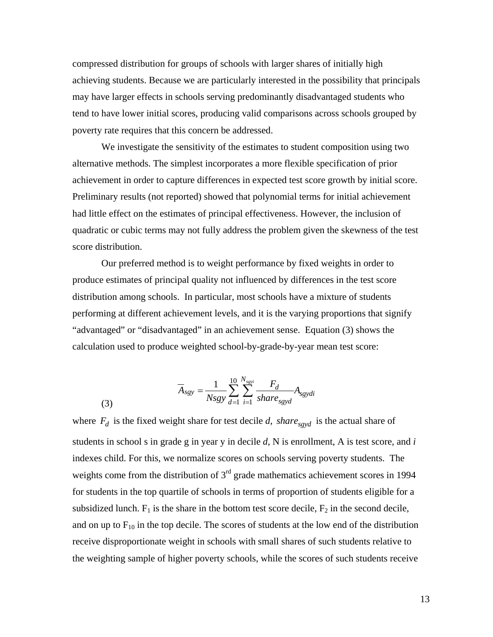compressed distribution for groups of schools with larger shares of initially high achieving students. Because we are particularly interested in the possibility that principals may have larger effects in schools serving predominantly disadvantaged students who tend to have lower initial scores, producing valid comparisons across schools grouped by poverty rate requires that this concern be addressed.

We investigate the sensitivity of the estimates to student composition using two alternative methods. The simplest incorporates a more flexible specification of prior achievement in order to capture differences in expected test score growth by initial score. Preliminary results (not reported) showed that polynomial terms for initial achievement had little effect on the estimates of principal effectiveness. However, the inclusion of quadratic or cubic terms may not fully address the problem given the skewness of the test score distribution.

Our preferred method is to weight performance by fixed weights in order to produce estimates of principal quality not influenced by differences in the test score distribution among schools. In particular, most schools have a mixture of students performing at different achievement levels, and it is the varying proportions that signify "advantaged" or "disadvantaged" in an achievement sense. Equation (3) shows the calculation used to produce weighted school-by-grade-by-year mean test score:

$$
\overline{A}_{sgy} = \frac{1}{Nsgy} \sum_{d=1}^{10} \sum_{i=1}^{N_{sgy}} \frac{F_d}{share_{sgyd}} A_{sgydi}
$$

(3)

where  $F_d$  is the fixed weight share for test decile *d*, *share*<sub>sgyd</sub> is the actual share of students in school s in grade g in year y in decile *d*, N is enrollment, A is test score, and *i* indexes child. For this, we normalize scores on schools serving poverty students. The weights come from the distribution of  $3<sup>rd</sup>$  grade mathematics achievement scores in 1994 for students in the top quartile of schools in terms of proportion of students eligible for a subsidized lunch.  $F_1$  is the share in the bottom test score decile,  $F_2$  in the second decile, and on up to  $F_{10}$  in the top decile. The scores of students at the low end of the distribution receive disproportionate weight in schools with small shares of such students relative to the weighting sample of higher poverty schools, while the scores of such students receive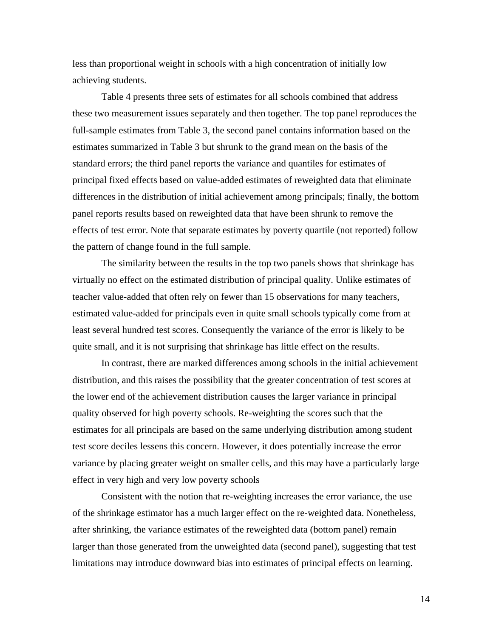less than proportional weight in schools with a high concentration of initially low achieving students.

 Table 4 presents three sets of estimates for all schools combined that address these two measurement issues separately and then together. The top panel reproduces the full-sample estimates from Table 3, the second panel contains information based on the estimates summarized in Table 3 but shrunk to the grand mean on the basis of the standard errors; the third panel reports the variance and quantiles for estimates of principal fixed effects based on value-added estimates of reweighted data that eliminate differences in the distribution of initial achievement among principals; finally, the bottom panel reports results based on reweighted data that have been shrunk to remove the effects of test error. Note that separate estimates by poverty quartile (not reported) follow the pattern of change found in the full sample.

 The similarity between the results in the top two panels shows that shrinkage has virtually no effect on the estimated distribution of principal quality. Unlike estimates of teacher value-added that often rely on fewer than 15 observations for many teachers, estimated value-added for principals even in quite small schools typically come from at least several hundred test scores. Consequently the variance of the error is likely to be quite small, and it is not surprising that shrinkage has little effect on the results.

 In contrast, there are marked differences among schools in the initial achievement distribution, and this raises the possibility that the greater concentration of test scores at the lower end of the achievement distribution causes the larger variance in principal quality observed for high poverty schools. Re-weighting the scores such that the estimates for all principals are based on the same underlying distribution among student test score deciles lessens this concern. However, it does potentially increase the error variance by placing greater weight on smaller cells, and this may have a particularly large effect in very high and very low poverty schools

Consistent with the notion that re-weighting increases the error variance, the use of the shrinkage estimator has a much larger effect on the re-weighted data. Nonetheless, after shrinking, the variance estimates of the reweighted data (bottom panel) remain larger than those generated from the unweighted data (second panel), suggesting that test limitations may introduce downward bias into estimates of principal effects on learning.

14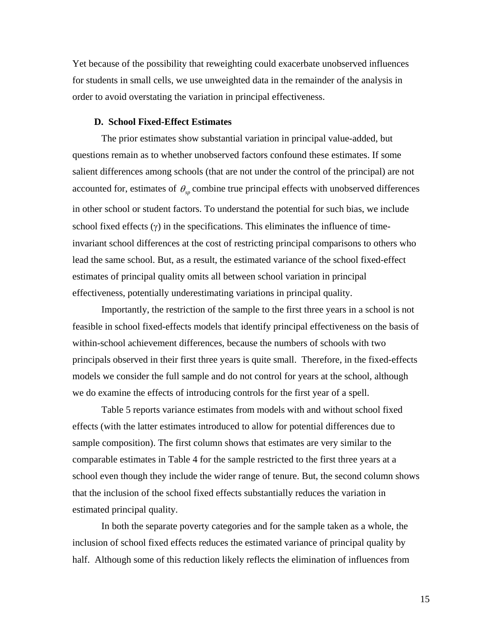Yet because of the possibility that reweighting could exacerbate unobserved influences for students in small cells, we use unweighted data in the remainder of the analysis in order to avoid overstating the variation in principal effectiveness.

#### **D. School Fixed-Effect Estimates**

 The prior estimates show substantial variation in principal value-added, but questions remain as to whether unobserved factors confound these estimates. If some salient differences among schools (that are not under the control of the principal) are not accounted for, estimates of  $\theta_{sp}$  combine true principal effects with unobserved differences in other school or student factors. To understand the potential for such bias, we include school fixed effects  $(y)$  in the specifications. This eliminates the influence of timeinvariant school differences at the cost of restricting principal comparisons to others who lead the same school. But, as a result, the estimated variance of the school fixed-effect estimates of principal quality omits all between school variation in principal effectiveness, potentially underestimating variations in principal quality.

 Importantly, the restriction of the sample to the first three years in a school is not feasible in school fixed-effects models that identify principal effectiveness on the basis of within-school achievement differences, because the numbers of schools with two principals observed in their first three years is quite small. Therefore, in the fixed-effects models we consider the full sample and do not control for years at the school, although we do examine the effects of introducing controls for the first year of a spell.

Table 5 reports variance estimates from models with and without school fixed effects (with the latter estimates introduced to allow for potential differences due to sample composition). The first column shows that estimates are very similar to the comparable estimates in Table 4 for the sample restricted to the first three years at a school even though they include the wider range of tenure. But, the second column shows that the inclusion of the school fixed effects substantially reduces the variation in estimated principal quality.

In both the separate poverty categories and for the sample taken as a whole, the inclusion of school fixed effects reduces the estimated variance of principal quality by half. Although some of this reduction likely reflects the elimination of influences from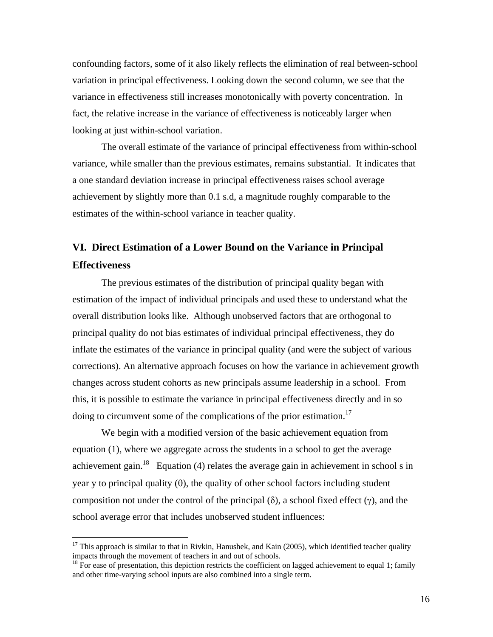confounding factors, some of it also likely reflects the elimination of real between-school variation in principal effectiveness. Looking down the second column, we see that the variance in effectiveness still increases monotonically with poverty concentration. In fact, the relative increase in the variance of effectiveness is noticeably larger when looking at just within-school variation.

 The overall estimate of the variance of principal effectiveness from within-school variance, while smaller than the previous estimates, remains substantial. It indicates that a one standard deviation increase in principal effectiveness raises school average achievement by slightly more than 0.1 s.d, a magnitude roughly comparable to the estimates of the within-school variance in teacher quality.

# **VI. Direct Estimation of a Lower Bound on the Variance in Principal Effectiveness**

 The previous estimates of the distribution of principal quality began with estimation of the impact of individual principals and used these to understand what the overall distribution looks like. Although unobserved factors that are orthogonal to principal quality do not bias estimates of individual principal effectiveness, they do inflate the estimates of the variance in principal quality (and were the subject of various corrections). An alternative approach focuses on how the variance in achievement growth changes across student cohorts as new principals assume leadership in a school. From this, it is possible to estimate the variance in principal effectiveness directly and in so doing to circumvent some of the complications of the prior estimation.<sup>17</sup>

 We begin with a modified version of the basic achievement equation from equation (1), where we aggregate across the students in a school to get the average achievement gain.<sup>18</sup> Equation (4) relates the average gain in achievement in school s in year y to principal quality  $(\theta)$ , the quality of other school factors including student composition not under the control of the principal  $(\delta)$ , a school fixed effect  $(\gamma)$ , and the school average error that includes unobserved student influences:

 $17$  This approach is similar to that in Rivkin, Hanushek, and Kain (2005), which identified teacher quality impacts through the movement of teachers in and out of schools.

 $18$  For ease of presentation, this depiction restricts the coefficient on lagged achievement to equal 1; family and other time-varying school inputs are also combined into a single term.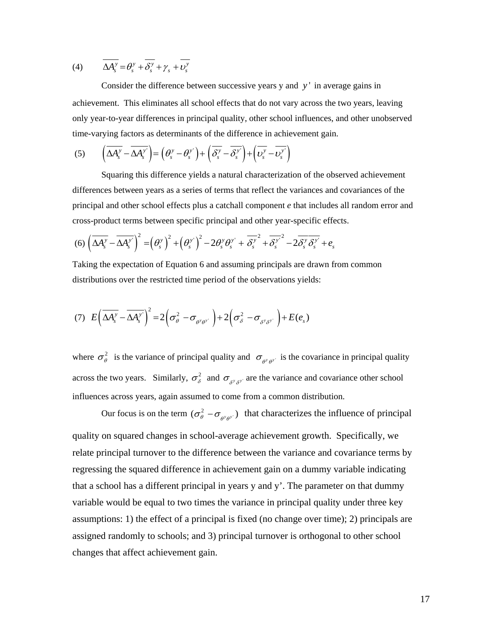(4) 
$$
\overline{\Delta A_s^y} = \theta_s^y + \overline{\delta_s^y} + \gamma_s + \overline{\nu_s^y}
$$

Consider the difference between successive years y and *y* ' in average gains in achievement. This eliminates all school effects that do not vary across the two years, leaving only year-to-year differences in principal quality, other school influences, and other unobserved time-varying factors as determinants of the difference in achievement gain.

$$
(5) \qquad \left(\overline{\Delta A_s^y} - \overline{\Delta A_s^{y'}}\right) = \left(\theta_s^y - \theta_s^{y'}\right) + \left(\overline{\delta_s^y} - \overline{\delta_s^{y'}}\right) + \left(\overline{\nu_s^y} - \overline{\nu_s^{y'}}\right)
$$

Squaring this difference yields a natural characterization of the observed achievement differences between years as a series of terms that reflect the variances and covariances of the principal and other school effects plus a catchall component *e* that includes all random error and cross-product terms between specific principal and other year-specific effects.

$$
(6)\left(\overline{\Delta A_s^y}-\overline{\Delta A_s^{y'}}\right)^2=\left(\theta_s^y\right)^2+\left(\theta_s^y\right)^2-2\theta_s^y\theta_s^{y'}+\overline{\delta_s^y}^2+\overline{\delta_s^y}^2-2\overline{\delta_s^y\delta_s^{y'}}+e_s
$$

Taking the expectation of Equation 6 and assuming principals are drawn from common distributions over the restricted time period of the observations yields:

$$
(7) \ \ E\left(\overline{\Delta A_s^y}-\overline{\Delta A_s^{y}}\right)^2=2\left(\sigma_\theta^2-\sigma_{\theta^y\theta^{y}}\right)+2\left(\sigma_\delta^2-\sigma_{\delta^y\delta^{y}}\right)+E(e_s)
$$

where  $\sigma_{\theta}^2$  is the variance of principal quality and  $\sigma_{\theta^y \theta^y}$  is the covariance in principal quality across the two years. Similarly,  $\sigma_{\delta}^2$  and  $\sigma_{\delta^y,\delta^y}$  are the variance and covariance other school influences across years, again assumed to come from a common distribution.

Our focus is on the term  $(\sigma_{\theta}^2 - \sigma_{\theta^{\gamma}\theta^{\gamma}})$  that characterizes the influence of principal quality on squared changes in school-average achievement growth. Specifically, we relate principal turnover to the difference between the variance and covariance terms by regressing the squared difference in achievement gain on a dummy variable indicating that a school has a different principal in years y and y'. The parameter on that dummy variable would be equal to two times the variance in principal quality under three key assumptions: 1) the effect of a principal is fixed (no change over time); 2) principals are assigned randomly to schools; and 3) principal turnover is orthogonal to other school changes that affect achievement gain.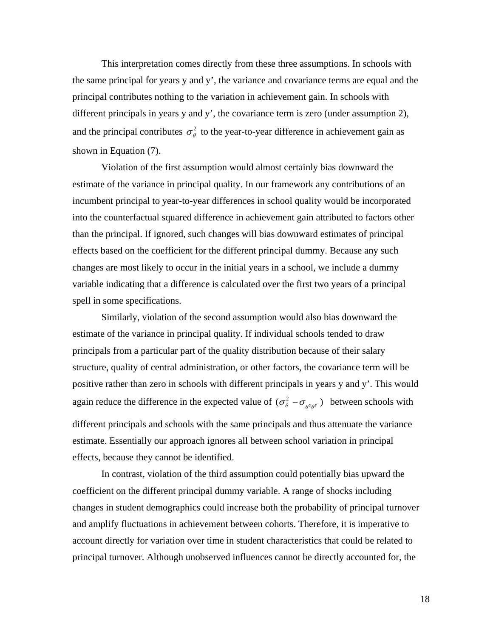This interpretation comes directly from these three assumptions. In schools with the same principal for years y and y', the variance and covariance terms are equal and the principal contributes nothing to the variation in achievement gain. In schools with different principals in years y and y', the covariance term is zero (under assumption 2), and the principal contributes  $\sigma_{\theta}^2$  to the year-to-year difference in achievement gain as shown in Equation (7).

 Violation of the first assumption would almost certainly bias downward the estimate of the variance in principal quality. In our framework any contributions of an incumbent principal to year-to-year differences in school quality would be incorporated into the counterfactual squared difference in achievement gain attributed to factors other than the principal. If ignored, such changes will bias downward estimates of principal effects based on the coefficient for the different principal dummy. Because any such changes are most likely to occur in the initial years in a school, we include a dummy variable indicating that a difference is calculated over the first two years of a principal spell in some specifications.

Similarly, violation of the second assumption would also bias downward the estimate of the variance in principal quality. If individual schools tended to draw principals from a particular part of the quality distribution because of their salary structure, quality of central administration, or other factors, the covariance term will be positive rather than zero in schools with different principals in years y and y'. This would again reduce the difference in the expected value of  $(\sigma_{\theta}^2 - \sigma_{\theta^{y} \theta^{y}})$  between schools with different principals and schools with the same principals and thus attenuate the variance estimate. Essentially our approach ignores all between school variation in principal effects, because they cannot be identified.

In contrast, violation of the third assumption could potentially bias upward the coefficient on the different principal dummy variable. A range of shocks including changes in student demographics could increase both the probability of principal turnover and amplify fluctuations in achievement between cohorts. Therefore, it is imperative to account directly for variation over time in student characteristics that could be related to principal turnover. Although unobserved influences cannot be directly accounted for, the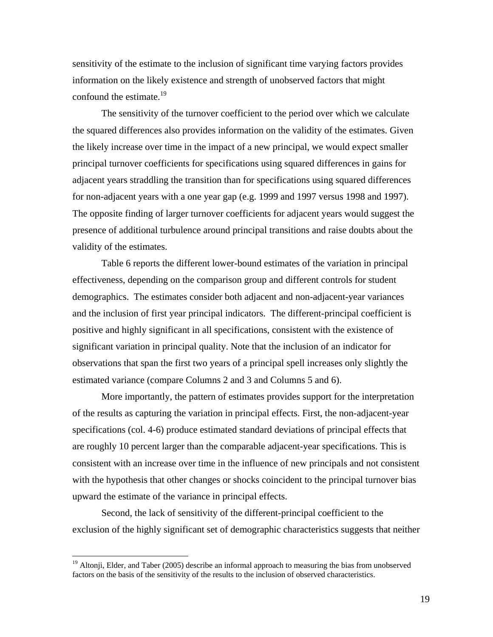sensitivity of the estimate to the inclusion of significant time varying factors provides information on the likely existence and strength of unobserved factors that might confound the estimate. $19$ 

The sensitivity of the turnover coefficient to the period over which we calculate the squared differences also provides information on the validity of the estimates. Given the likely increase over time in the impact of a new principal, we would expect smaller principal turnover coefficients for specifications using squared differences in gains for adjacent years straddling the transition than for specifications using squared differences for non-adjacent years with a one year gap (e.g. 1999 and 1997 versus 1998 and 1997). The opposite finding of larger turnover coefficients for adjacent years would suggest the presence of additional turbulence around principal transitions and raise doubts about the validity of the estimates.

 Table 6 reports the different lower-bound estimates of the variation in principal effectiveness, depending on the comparison group and different controls for student demographics. The estimates consider both adjacent and non-adjacent-year variances and the inclusion of first year principal indicators. The different-principal coefficient is positive and highly significant in all specifications, consistent with the existence of significant variation in principal quality. Note that the inclusion of an indicator for observations that span the first two years of a principal spell increases only slightly the estimated variance (compare Columns 2 and 3 and Columns 5 and 6).

 More importantly, the pattern of estimates provides support for the interpretation of the results as capturing the variation in principal effects. First, the non-adjacent-year specifications (col. 4-6) produce estimated standard deviations of principal effects that are roughly 10 percent larger than the comparable adjacent-year specifications. This is consistent with an increase over time in the influence of new principals and not consistent with the hypothesis that other changes or shocks coincident to the principal turnover bias upward the estimate of the variance in principal effects.

 Second, the lack of sensitivity of the different-principal coefficient to the exclusion of the highly significant set of demographic characteristics suggests that neither

<sup>&</sup>lt;sup>19</sup> Altonji, Elder, and Taber (2005) describe an informal approach to measuring the bias from unobserved factors on the basis of the sensitivity of the results to the inclusion of observed characteristics.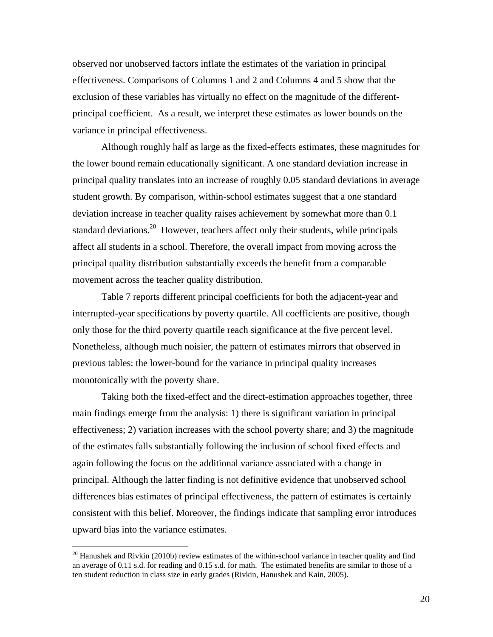observed nor unobserved factors inflate the estimates of the variation in principal effectiveness. Comparisons of Columns 1 and 2 and Columns 4 and 5 show that the exclusion of these variables has virtually no effect on the magnitude of the differentprincipal coefficient. As a result, we interpret these estimates as lower bounds on the variance in principal effectiveness.

 Although roughly half as large as the fixed-effects estimates, these magnitudes for the lower bound remain educationally significant. A one standard deviation increase in principal quality translates into an increase of roughly 0.05 standard deviations in average student growth. By comparison, within-school estimates suggest that a one standard deviation increase in teacher quality raises achievement by somewhat more than 0.1 standard deviations.<sup>20</sup> However, teachers affect only their students, while principals affect all students in a school. Therefore, the overall impact from moving across the principal quality distribution substantially exceeds the benefit from a comparable movement across the teacher quality distribution.

Table 7 reports different principal coefficients for both the adjacent-year and interrupted-year specifications by poverty quartile. All coefficients are positive, though only those for the third poverty quartile reach significance at the five percent level. Nonetheless, although much noisier, the pattern of estimates mirrors that observed in previous tables: the lower-bound for the variance in principal quality increases monotonically with the poverty share.

Taking both the fixed-effect and the direct-estimation approaches together, three main findings emerge from the analysis: 1) there is significant variation in principal effectiveness; 2) variation increases with the school poverty share; and 3) the magnitude of the estimates falls substantially following the inclusion of school fixed effects and again following the focus on the additional variance associated with a change in principal. Although the latter finding is not definitive evidence that unobserved school differences bias estimates of principal effectiveness, the pattern of estimates is certainly consistent with this belief. Moreover, the findings indicate that sampling error introduces upward bias into the variance estimates.

1

 $20$  Hanushek and Rivkin (2010b) review estimates of the within-school variance in teacher quality and find an average of 0.11 s.d. for reading and 0.15 s.d. for math. The estimated benefits are similar to those of a ten student reduction in class size in early grades (Rivkin, Hanushek and Kain, 2005).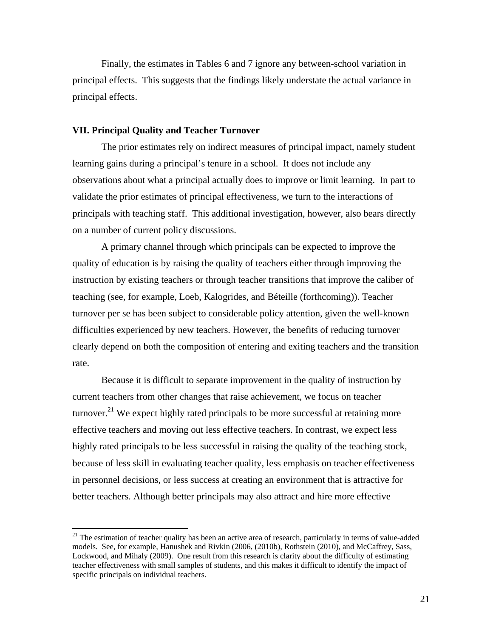Finally, the estimates in Tables 6 and 7 ignore any between-school variation in principal effects. This suggests that the findings likely understate the actual variance in principal effects.

#### **VII. Principal Quality and Teacher Turnover**

 $\overline{a}$ 

The prior estimates rely on indirect measures of principal impact, namely student learning gains during a principal's tenure in a school. It does not include any observations about what a principal actually does to improve or limit learning. In part to validate the prior estimates of principal effectiveness, we turn to the interactions of principals with teaching staff. This additional investigation, however, also bears directly on a number of current policy discussions.

A primary channel through which principals can be expected to improve the quality of education is by raising the quality of teachers either through improving the instruction by existing teachers or through teacher transitions that improve the caliber of teaching (see, for example, Loeb, Kalogrides, and Béteille (forthcoming)). Teacher turnover per se has been subject to considerable policy attention, given the well-known difficulties experienced by new teachers. However, the benefits of reducing turnover clearly depend on both the composition of entering and exiting teachers and the transition rate.

Because it is difficult to separate improvement in the quality of instruction by current teachers from other changes that raise achievement, we focus on teacher turnover.<sup>21</sup> We expect highly rated principals to be more successful at retaining more effective teachers and moving out less effective teachers. In contrast, we expect less highly rated principals to be less successful in raising the quality of the teaching stock, because of less skill in evaluating teacher quality, less emphasis on teacher effectiveness in personnel decisions, or less success at creating an environment that is attractive for better teachers. Although better principals may also attract and hire more effective

<sup>&</sup>lt;sup>21</sup> The estimation of teacher quality has been an active area of research, particularly in terms of value-added models. See, for example, Hanushek and Rivkin (2006, (2010b), Rothstein (2010), and McCaffrey, Sass, Lockwood, and Mihaly (2009). One result from this research is clarity about the difficulty of estimating teacher effectiveness with small samples of students, and this makes it difficult to identify the impact of specific principals on individual teachers.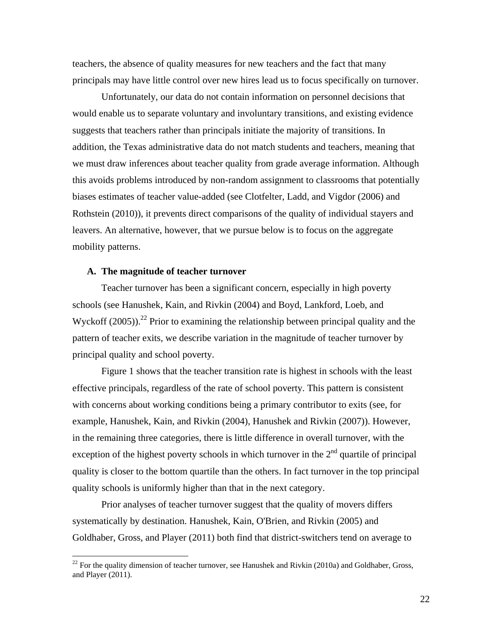teachers, the absence of quality measures for new teachers and the fact that many principals may have little control over new hires lead us to focus specifically on turnover.

Unfortunately, our data do not contain information on personnel decisions that would enable us to separate voluntary and involuntary transitions, and existing evidence suggests that teachers rather than principals initiate the majority of transitions. In addition, the Texas administrative data do not match students and teachers, meaning that we must draw inferences about teacher quality from grade average information. Although this avoids problems introduced by non-random assignment to classrooms that potentially biases estimates of teacher value-added (see Clotfelter, Ladd, and Vigdor (2006) and Rothstein (2010)), it prevents direct comparisons of the quality of individual stayers and leavers. An alternative, however, that we pursue below is to focus on the aggregate mobility patterns.

#### **A. The magnitude of teacher turnover**

 $\overline{a}$ 

Teacher turnover has been a significant concern, especially in high poverty schools (see Hanushek, Kain, and Rivkin (2004) and Boyd, Lankford, Loeb, and Wyckoff (2005)).<sup>22</sup> Prior to examining the relationship between principal quality and the pattern of teacher exits, we describe variation in the magnitude of teacher turnover by principal quality and school poverty.

Figure 1 shows that the teacher transition rate is highest in schools with the least effective principals, regardless of the rate of school poverty. This pattern is consistent with concerns about working conditions being a primary contributor to exits (see, for example, Hanushek, Kain, and Rivkin (2004), Hanushek and Rivkin (2007)). However, in the remaining three categories, there is little difference in overall turnover, with the exception of the highest poverty schools in which turnover in the  $2<sup>nd</sup>$  quartile of principal quality is closer to the bottom quartile than the others. In fact turnover in the top principal quality schools is uniformly higher than that in the next category.

Prior analyses of teacher turnover suggest that the quality of movers differs systematically by destination. Hanushek, Kain, O'Brien, and Rivkin (2005) and Goldhaber, Gross, and Player (2011) both find that district-switchers tend on average to

 $^{22}$  For the quality dimension of teacher turnover, see Hanushek and Rivkin (2010a) and Goldhaber, Gross, and Player (2011).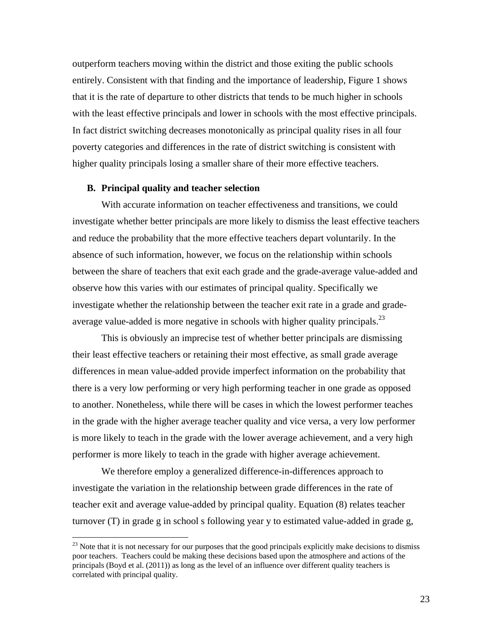outperform teachers moving within the district and those exiting the public schools entirely. Consistent with that finding and the importance of leadership, Figure 1 shows that it is the rate of departure to other districts that tends to be much higher in schools with the least effective principals and lower in schools with the most effective principals. In fact district switching decreases monotonically as principal quality rises in all four poverty categories and differences in the rate of district switching is consistent with higher quality principals losing a smaller share of their more effective teachers.

#### **B. Principal quality and teacher selection**

 $\overline{a}$ 

With accurate information on teacher effectiveness and transitions, we could investigate whether better principals are more likely to dismiss the least effective teachers and reduce the probability that the more effective teachers depart voluntarily. In the absence of such information, however, we focus on the relationship within schools between the share of teachers that exit each grade and the grade-average value-added and observe how this varies with our estimates of principal quality. Specifically we investigate whether the relationship between the teacher exit rate in a grade and gradeaverage value-added is more negative in schools with higher quality principals.<sup>23</sup>

This is obviously an imprecise test of whether better principals are dismissing their least effective teachers or retaining their most effective, as small grade average differences in mean value-added provide imperfect information on the probability that there is a very low performing or very high performing teacher in one grade as opposed to another. Nonetheless, while there will be cases in which the lowest performer teaches in the grade with the higher average teacher quality and vice versa, a very low performer is more likely to teach in the grade with the lower average achievement, and a very high performer is more likely to teach in the grade with higher average achievement.

 We therefore employ a generalized difference-in-differences approach to investigate the variation in the relationship between grade differences in the rate of teacher exit and average value-added by principal quality. Equation (8) relates teacher turnover (T) in grade g in school s following year y to estimated value-added in grade g,

 $^{23}$  Note that it is not necessary for our purposes that the good principals explicitly make decisions to dismiss poor teachers. Teachers could be making these decisions based upon the atmosphere and actions of the principals (Boyd et al. (2011)) as long as the level of an influence over different quality teachers is correlated with principal quality.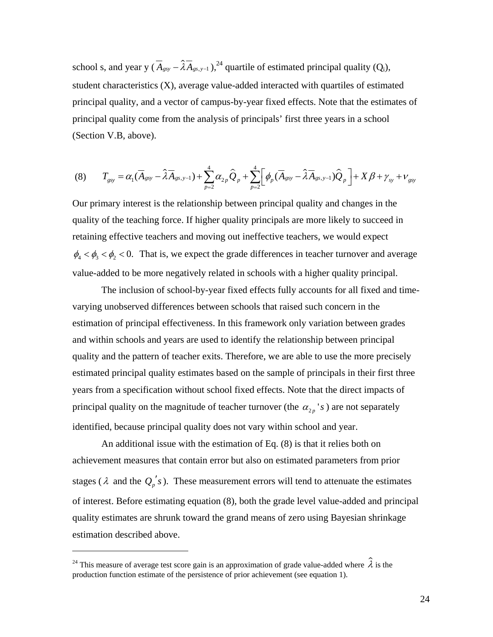school s, and year y  $(\overline{A}_{gsy} - \lambda \overline{A}_{gsy-1})$ ,<sup>24</sup> quartile of estimated principal quality (Q<sub>i</sub>), student characteristics (X), average value-added interacted with quartiles of estimated principal quality, and a vector of campus-by-year fixed effects. Note that the estimates of principal quality come from the analysis of principals' first three years in a school (Section V.B, above).

$$
(8) \qquad T_{\rm gsy} = \alpha_1 (\overline{A}_{\rm gsy} - \widehat{\lambda} \overline{A}_{\rm gsy-1}) + \sum_{p=2}^{4} \alpha_{2p} \widehat{Q}_p + \sum_{p=2}^{4} \left[ \phi_p (\overline{A}_{\rm gsy} - \widehat{\lambda} \overline{A}_{\rm gsy-1}) \widehat{Q}_p \right] + X \beta + \gamma_{\rm sy} + \nu_{\rm gsy}
$$

Our primary interest is the relationship between principal quality and changes in the quality of the teaching force. If higher quality principals are more likely to succeed in retaining effective teachers and moving out ineffective teachers, we would expect  $\phi_4 < \phi_3 < \phi_2 < 0$ . That is, we expect the grade differences in teacher turnover and average value-added to be more negatively related in schools with a higher quality principal.

 The inclusion of school-by-year fixed effects fully accounts for all fixed and timevarying unobserved differences between schools that raised such concern in the estimation of principal effectiveness. In this framework only variation between grades and within schools and years are used to identify the relationship between principal quality and the pattern of teacher exits. Therefore, we are able to use the more precisely estimated principal quality estimates based on the sample of principals in their first three years from a specification without school fixed effects. Note that the direct impacts of principal quality on the magnitude of teacher turnover (the  $\alpha_{2p}$ 's) are not separately identified, because principal quality does not vary within school and year.

 An additional issue with the estimation of Eq. (8) is that it relies both on achievement measures that contain error but also on estimated parameters from prior stages ( $\lambda$  and the  $Q_p's$ ). These measurement errors will tend to attenuate the estimates of interest. Before estimating equation (8), both the grade level value-added and principal quality estimates are shrunk toward the grand means of zero using Bayesian shrinkage estimation described above.

<sup>&</sup>lt;sup>24</sup> This measure of average test score gain is an approximation of grade value-added where  $\hat{\lambda}$  is the production function estimate of the persistence of prior achievement (see equation 1).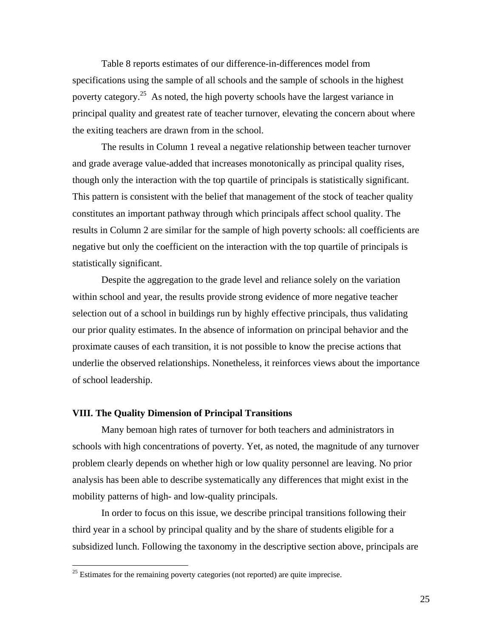Table 8 reports estimates of our difference-in-differences model from specifications using the sample of all schools and the sample of schools in the highest poverty category.25 As noted, the high poverty schools have the largest variance in principal quality and greatest rate of teacher turnover, elevating the concern about where the exiting teachers are drawn from in the school.

The results in Column 1 reveal a negative relationship between teacher turnover and grade average value-added that increases monotonically as principal quality rises, though only the interaction with the top quartile of principals is statistically significant. This pattern is consistent with the belief that management of the stock of teacher quality constitutes an important pathway through which principals affect school quality. The results in Column 2 are similar for the sample of high poverty schools: all coefficients are negative but only the coefficient on the interaction with the top quartile of principals is statistically significant.

Despite the aggregation to the grade level and reliance solely on the variation within school and year, the results provide strong evidence of more negative teacher selection out of a school in buildings run by highly effective principals, thus validating our prior quality estimates. In the absence of information on principal behavior and the proximate causes of each transition, it is not possible to know the precise actions that underlie the observed relationships. Nonetheless, it reinforces views about the importance of school leadership.

#### **VIII. The Quality Dimension of Principal Transitions**

 Many bemoan high rates of turnover for both teachers and administrators in schools with high concentrations of poverty. Yet, as noted, the magnitude of any turnover problem clearly depends on whether high or low quality personnel are leaving. No prior analysis has been able to describe systematically any differences that might exist in the mobility patterns of high- and low-quality principals.

 In order to focus on this issue, we describe principal transitions following their third year in a school by principal quality and by the share of students eligible for a subsidized lunch. Following the taxonomy in the descriptive section above, principals are

 $25$  Estimates for the remaining poverty categories (not reported) are quite imprecise.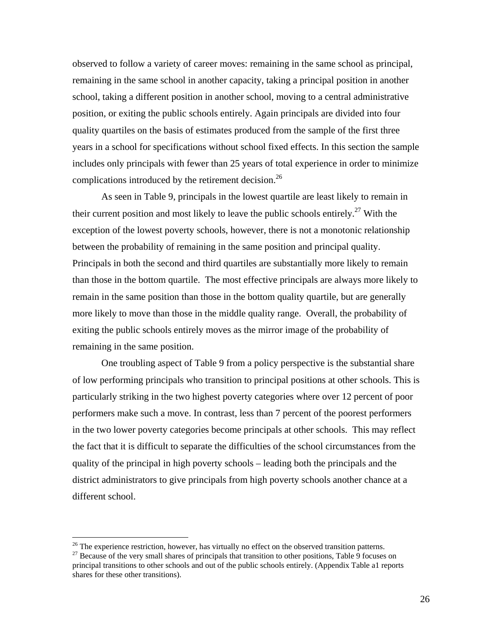observed to follow a variety of career moves: remaining in the same school as principal, remaining in the same school in another capacity, taking a principal position in another school, taking a different position in another school, moving to a central administrative position, or exiting the public schools entirely. Again principals are divided into four quality quartiles on the basis of estimates produced from the sample of the first three years in a school for specifications without school fixed effects. In this section the sample includes only principals with fewer than 25 years of total experience in order to minimize complications introduced by the retirement decision.<sup>26</sup>

As seen in Table 9, principals in the lowest quartile are least likely to remain in their current position and most likely to leave the public schools entirely.<sup>27</sup> With the exception of the lowest poverty schools, however, there is not a monotonic relationship between the probability of remaining in the same position and principal quality. Principals in both the second and third quartiles are substantially more likely to remain than those in the bottom quartile. The most effective principals are always more likely to remain in the same position than those in the bottom quality quartile, but are generally more likely to move than those in the middle quality range. Overall, the probability of exiting the public schools entirely moves as the mirror image of the probability of remaining in the same position.

One troubling aspect of Table 9 from a policy perspective is the substantial share of low performing principals who transition to principal positions at other schools. This is particularly striking in the two highest poverty categories where over 12 percent of poor performers make such a move. In contrast, less than 7 percent of the poorest performers in the two lower poverty categories become principals at other schools. This may reflect the fact that it is difficult to separate the difficulties of the school circumstances from the quality of the principal in high poverty schools – leading both the principals and the district administrators to give principals from high poverty schools another chance at a different school.

<sup>&</sup>lt;sup>26</sup> The experience restriction, however, has virtually no effect on the observed transition patterns. <sup>27</sup> Because of the very small shares of principals that transition to other positions, Table 9 focuses on

principal transitions to other schools and out of the public schools entirely. (Appendix Table a1 reports shares for these other transitions).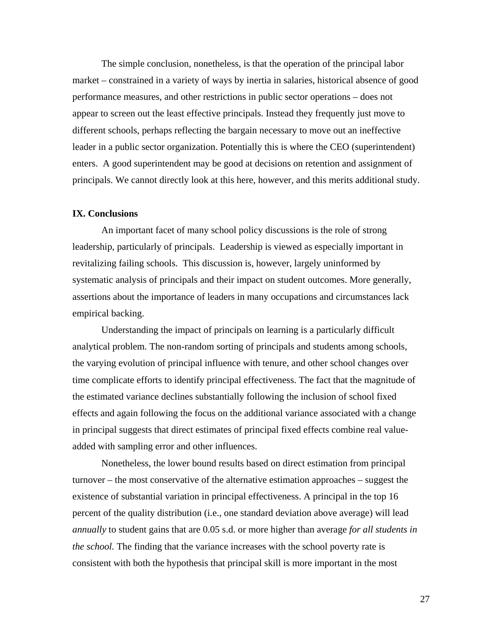The simple conclusion, nonetheless, is that the operation of the principal labor market – constrained in a variety of ways by inertia in salaries, historical absence of good performance measures, and other restrictions in public sector operations – does not appear to screen out the least effective principals. Instead they frequently just move to different schools, perhaps reflecting the bargain necessary to move out an ineffective leader in a public sector organization. Potentially this is where the CEO (superintendent) enters. A good superintendent may be good at decisions on retention and assignment of principals. We cannot directly look at this here, however, and this merits additional study.

#### **IX. Conclusions**

An important facet of many school policy discussions is the role of strong leadership, particularly of principals. Leadership is viewed as especially important in revitalizing failing schools. This discussion is, however, largely uninformed by systematic analysis of principals and their impact on student outcomes. More generally, assertions about the importance of leaders in many occupations and circumstances lack empirical backing.

 Understanding the impact of principals on learning is a particularly difficult analytical problem. The non-random sorting of principals and students among schools, the varying evolution of principal influence with tenure, and other school changes over time complicate efforts to identify principal effectiveness. The fact that the magnitude of the estimated variance declines substantially following the inclusion of school fixed effects and again following the focus on the additional variance associated with a change in principal suggests that direct estimates of principal fixed effects combine real valueadded with sampling error and other influences.

 Nonetheless, the lower bound results based on direct estimation from principal turnover – the most conservative of the alternative estimation approaches – suggest the existence of substantial variation in principal effectiveness. A principal in the top 16 percent of the quality distribution (i.e., one standard deviation above average) will lead *annually* to student gains that are 0.05 s.d. or more higher than average *for all students in the school.* The finding that the variance increases with the school poverty rate is consistent with both the hypothesis that principal skill is more important in the most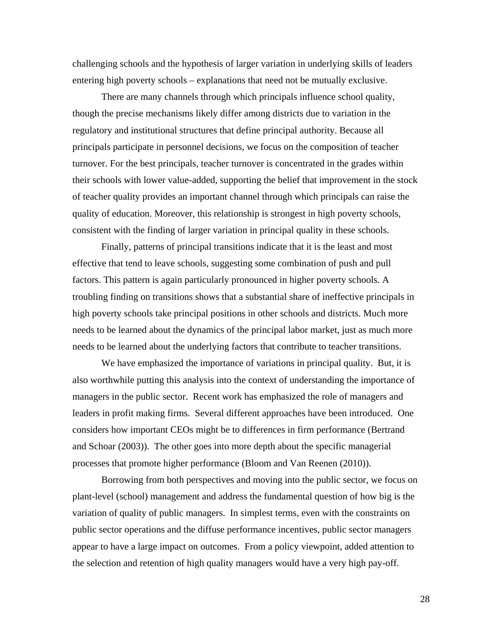challenging schools and the hypothesis of larger variation in underlying skills of leaders entering high poverty schools – explanations that need not be mutually exclusive.

There are many channels through which principals influence school quality, though the precise mechanisms likely differ among districts due to variation in the regulatory and institutional structures that define principal authority. Because all principals participate in personnel decisions, we focus on the composition of teacher turnover. For the best principals, teacher turnover is concentrated in the grades within their schools with lower value-added, supporting the belief that improvement in the stock of teacher quality provides an important channel through which principals can raise the quality of education. Moreover, this relationship is strongest in high poverty schools, consistent with the finding of larger variation in principal quality in these schools.

 Finally, patterns of principal transitions indicate that it is the least and most effective that tend to leave schools, suggesting some combination of push and pull factors. This pattern is again particularly pronounced in higher poverty schools. A troubling finding on transitions shows that a substantial share of ineffective principals in high poverty schools take principal positions in other schools and districts. Much more needs to be learned about the dynamics of the principal labor market, just as much more needs to be learned about the underlying factors that contribute to teacher transitions.

We have emphasized the importance of variations in principal quality. But, it is also worthwhile putting this analysis into the context of understanding the importance of managers in the public sector. Recent work has emphasized the role of managers and leaders in profit making firms. Several different approaches have been introduced. One considers how important CEOs might be to differences in firm performance (Bertrand and Schoar (2003)). The other goes into more depth about the specific managerial processes that promote higher performance (Bloom and Van Reenen (2010)).

 Borrowing from both perspectives and moving into the public sector, we focus on plant-level (school) management and address the fundamental question of how big is the variation of quality of public managers. In simplest terms, even with the constraints on public sector operations and the diffuse performance incentives, public sector managers appear to have a large impact on outcomes. From a policy viewpoint, added attention to the selection and retention of high quality managers would have a very high pay-off.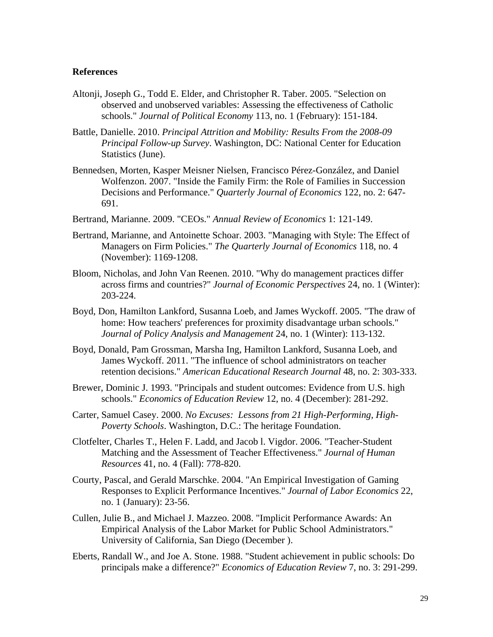#### **References**

- Altonji, Joseph G., Todd E. Elder, and Christopher R. Taber. 2005. "Selection on observed and unobserved variables: Assessing the effectiveness of Catholic schools." *Journal of Political Economy* 113, no. 1 (February): 151-184.
- Battle, Danielle. 2010. *Principal Attrition and Mobility: Results From the 2008-09 Principal Follow-up Survey*. Washington, DC: National Center for Education Statistics (June).
- Bennedsen, Morten, Kasper Meisner Nielsen, Francisco Pérez-González, and Daniel Wolfenzon. 2007. "Inside the Family Firm: the Role of Families in Succession Decisions and Performance." *Quarterly Journal of Economics* 122, no. 2: 647- 691.
- Bertrand, Marianne. 2009. "CEOs." *Annual Review of Economics* 1: 121-149.
- Bertrand, Marianne, and Antoinette Schoar. 2003. "Managing with Style: The Effect of Managers on Firm Policies." *The Quarterly Journal of Economics* 118, no. 4 (November): 1169-1208.
- Bloom, Nicholas, and John Van Reenen. 2010. "Why do management practices differ across firms and countries?" *Journal of Economic Perspectives* 24, no. 1 (Winter): 203-224.
- Boyd, Don, Hamilton Lankford, Susanna Loeb, and James Wyckoff. 2005. "The draw of home: How teachers' preferences for proximity disadvantage urban schools." *Journal of Policy Analysis and Management* 24, no. 1 (Winter): 113-132.
- Boyd, Donald, Pam Grossman, Marsha Ing, Hamilton Lankford, Susanna Loeb, and James Wyckoff. 2011. "The influence of school administrators on teacher retention decisions." *American Educational Research Journal* 48, no. 2: 303-333.
- Brewer, Dominic J. 1993. "Principals and student outcomes: Evidence from U.S. high schools." *Economics of Education Review* 12, no. 4 (December): 281-292.
- Carter, Samuel Casey. 2000. *No Excuses: Lessons from 21 High-Performing, High-Poverty Schools*. Washington, D.C.: The heritage Foundation.
- Clotfelter, Charles T., Helen F. Ladd, and Jacob l. Vigdor. 2006. "Teacher-Student Matching and the Assessment of Teacher Effectiveness." *Journal of Human Resources* 41, no. 4 (Fall): 778-820.
- Courty, Pascal, and Gerald Marschke. 2004. "An Empirical Investigation of Gaming Responses to Explicit Performance Incentives." *Journal of Labor Economics* 22, no. 1 (January): 23-56.
- Cullen, Julie B., and Michael J. Mazzeo. 2008. "Implicit Performance Awards: An Empirical Analysis of the Labor Market for Public School Administrators." University of California, San Diego (December ).
- Eberts, Randall W., and Joe A. Stone. 1988. "Student achievement in public schools: Do principals make a difference?" *Economics of Education Review* 7, no. 3: 291-299.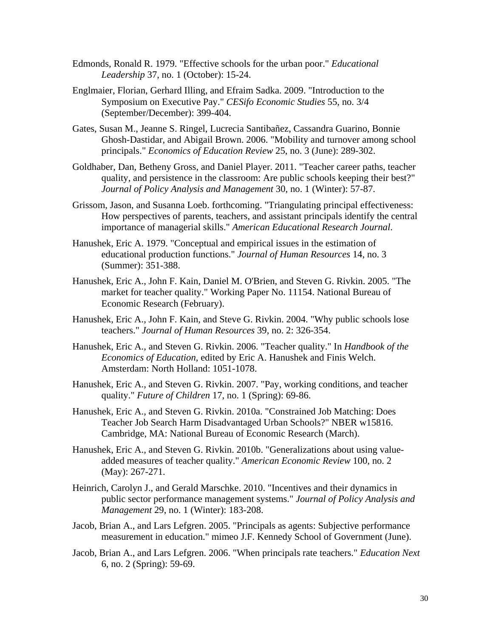- Edmonds, Ronald R. 1979. "Effective schools for the urban poor." *Educational Leadership* 37, no. 1 (October): 15-24.
- Englmaier, Florian, Gerhard Illing, and Efraim Sadka. 2009. "Introduction to the Symposium on Executive Pay." *CESifo Economic Studies* 55, no. 3/4 (September/December): 399-404.
- Gates, Susan M., Jeanne S. Ringel, Lucrecia Santibañez, Cassandra Guarino, Bonnie Ghosh-Dastidar, and Abigail Brown. 2006. "Mobility and turnover among school principals." *Economics of Education Review* 25, no. 3 (June): 289-302.
- Goldhaber, Dan, Betheny Gross, and Daniel Player. 2011. "Teacher career paths, teacher quality, and persistence in the classroom: Are public schools keeping their best?" *Journal of Policy Analysis and Management* 30, no. 1 (Winter): 57-87.
- Grissom, Jason, and Susanna Loeb. forthcoming. "Triangulating principal effectiveness: How perspectives of parents, teachers, and assistant principals identify the central importance of managerial skills." *American Educational Research Journal*.
- Hanushek, Eric A. 1979. "Conceptual and empirical issues in the estimation of educational production functions." *Journal of Human Resources* 14, no. 3 (Summer): 351-388.
- Hanushek, Eric A., John F. Kain, Daniel M. O'Brien, and Steven G. Rivkin. 2005. "The market for teacher quality." Working Paper No. 11154. National Bureau of Economic Research (February).
- Hanushek, Eric A., John F. Kain, and Steve G. Rivkin. 2004. "Why public schools lose teachers." *Journal of Human Resources* 39, no. 2: 326-354.
- Hanushek, Eric A., and Steven G. Rivkin. 2006. "Teacher quality." In *Handbook of the Economics of Education*, edited by Eric A. Hanushek and Finis Welch. Amsterdam: North Holland: 1051-1078.
- Hanushek, Eric A., and Steven G. Rivkin. 2007. "Pay, working conditions, and teacher quality." *Future of Children* 17, no. 1 (Spring): 69-86.
- Hanushek, Eric A., and Steven G. Rivkin. 2010a. "Constrained Job Matching: Does Teacher Job Search Harm Disadvantaged Urban Schools?" NBER w15816. Cambridge, MA: National Bureau of Economic Research (March).
- Hanushek, Eric A., and Steven G. Rivkin. 2010b. "Generalizations about using valueadded measures of teacher quality." *American Economic Review* 100, no. 2 (May): 267-271.
- Heinrich, Carolyn J., and Gerald Marschke. 2010. "Incentives and their dynamics in public sector performance management systems." *Journal of Policy Analysis and Management* 29, no. 1 (Winter): 183-208.
- Jacob, Brian A., and Lars Lefgren. 2005. "Principals as agents: Subjective performance measurement in education." mimeo J.F. Kennedy School of Government (June).
- Jacob, Brian A., and Lars Lefgren. 2006. "When principals rate teachers." *Education Next* 6, no. 2 (Spring): 59-69.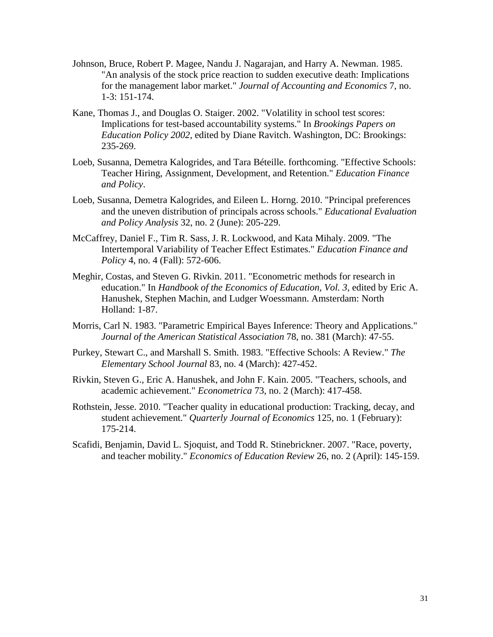- Johnson, Bruce, Robert P. Magee, Nandu J. Nagarajan, and Harry A. Newman. 1985. "An analysis of the stock price reaction to sudden executive death: Implications for the management labor market." *Journal of Accounting and Economics* 7, no. 1-3: 151-174.
- Kane, Thomas J., and Douglas O. Staiger. 2002. "Volatility in school test scores: Implications for test-based accountability systems." In *Brookings Papers on Education Policy 2002*, edited by Diane Ravitch. Washington, DC: Brookings: 235-269.
- Loeb, Susanna, Demetra Kalogrides, and Tara Béteille. forthcoming. "Effective Schools: Teacher Hiring, Assignment, Development, and Retention." *Education Finance and Policy*.
- Loeb, Susanna, Demetra Kalogrides, and Eileen L. Horng. 2010. "Principal preferences and the uneven distribution of principals across schools." *Educational Evaluation and Policy Analysis* 32, no. 2 (June): 205-229.
- McCaffrey, Daniel F., Tim R. Sass, J. R. Lockwood, and Kata Mihaly. 2009. "The Intertemporal Variability of Teacher Effect Estimates." *Education Finance and Policy* 4, no. 4 (Fall): 572-606.
- Meghir, Costas, and Steven G. Rivkin. 2011. "Econometric methods for research in education." In *Handbook of the Economics of Education, Vol. 3*, edited by Eric A. Hanushek, Stephen Machin, and Ludger Woessmann. Amsterdam: North Holland: 1-87.
- Morris, Carl N. 1983. "Parametric Empirical Bayes Inference: Theory and Applications." *Journal of the American Statistical Association* 78, no. 381 (March): 47-55.
- Purkey, Stewart C., and Marshall S. Smith. 1983. "Effective Schools: A Review." *The Elementary School Journal* 83, no. 4 (March): 427-452.
- Rivkin, Steven G., Eric A. Hanushek, and John F. Kain. 2005. "Teachers, schools, and academic achievement." *Econometrica* 73, no. 2 (March): 417-458.
- Rothstein, Jesse. 2010. "Teacher quality in educational production: Tracking, decay, and student achievement." *Quarterly Journal of Economics* 125, no. 1 (February): 175-214.
- Scafidi, Benjamin, David L. Sjoquist, and Todd R. Stinebrickner. 2007. "Race, poverty, and teacher mobility." *Economics of Education Review* 26, no. 2 (April): 145-159.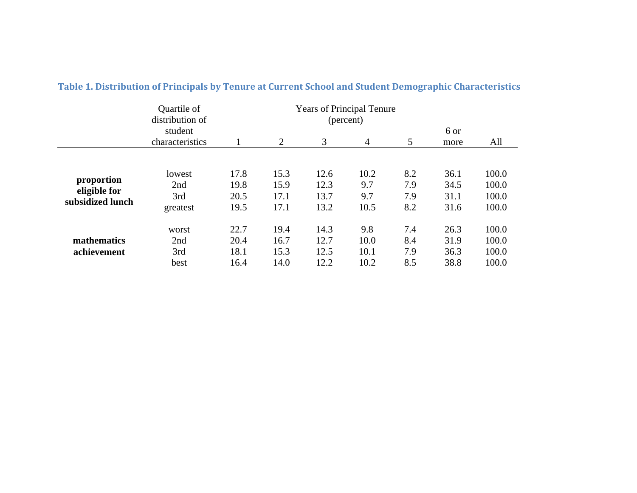|                  | Quartile of<br><b>Years of Principal Tenure</b><br>distribution of<br>(percent) |      |                |      |                |     |      |       |
|------------------|---------------------------------------------------------------------------------|------|----------------|------|----------------|-----|------|-------|
|                  | student                                                                         |      |                |      |                |     | 6 or |       |
|                  | characteristics                                                                 |      | $\overline{2}$ | 3    | $\overline{4}$ | 5   | more | All   |
|                  |                                                                                 |      |                |      |                |     |      |       |
|                  | lowest                                                                          | 17.8 | 15.3           | 12.6 | 10.2           | 8.2 | 36.1 | 100.0 |
| proportion       | 2nd                                                                             | 19.8 | 15.9           | 12.3 | 9.7            | 7.9 | 34.5 | 100.0 |
| eligible for     | 3rd                                                                             | 20.5 | 17.1           | 13.7 | 9.7            | 7.9 | 31.1 | 100.0 |
| subsidized lunch | greatest                                                                        | 19.5 | 17.1           | 13.2 | 10.5           | 8.2 | 31.6 | 100.0 |
|                  | worst                                                                           | 22.7 | 19.4           | 14.3 | 9.8            | 7.4 | 26.3 | 100.0 |
| mathematics      | 2nd                                                                             | 20.4 | 16.7           | 12.7 | 10.0           | 8.4 | 31.9 | 100.0 |
| achievement      | 3rd                                                                             | 18.1 | 15.3           | 12.5 | 10.1           | 7.9 | 36.3 | 100.0 |
|                  | best                                                                            | 16.4 | 14.0           | 12.2 | 10.2           | 8.5 | 38.8 | 100.0 |

#### **Table 1. Distribution of Principals by Tenure at Current School and Student Demographic Characteristics**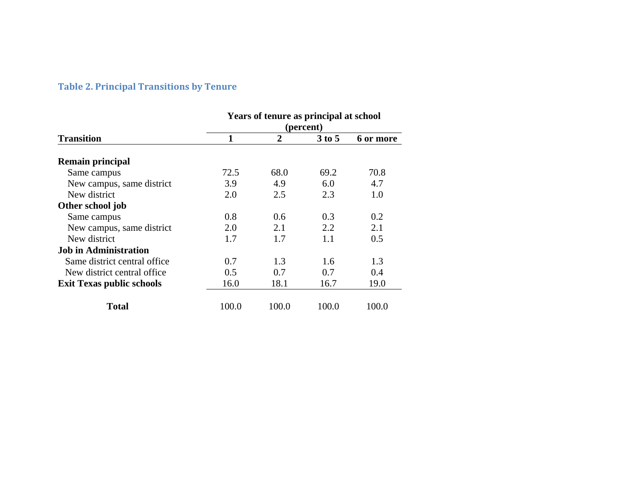#### **Table 2. Principal Transitions by Tenure**

|                                  | Years of tenure as principal at school |       |          |           |  |  |  |
|----------------------------------|----------------------------------------|-------|----------|-----------|--|--|--|
|                                  | (percent)                              |       |          |           |  |  |  |
| <b>Transition</b>                |                                        | 2     | $3$ to 5 | 6 or more |  |  |  |
| <b>Remain principal</b>          |                                        |       |          |           |  |  |  |
| Same campus                      | 72.5                                   | 68.0  | 69.2     | 70.8      |  |  |  |
| New campus, same district        | 3.9                                    | 4.9   | 6.0      | 4.7       |  |  |  |
| New district                     | 2.0                                    | 2.5   | 2.3      | 1.0       |  |  |  |
| Other school job                 |                                        |       |          |           |  |  |  |
| Same campus                      | 0.8                                    | 0.6   | 0.3      | 0.2       |  |  |  |
| New campus, same district        | 2.0                                    | 2.1   | 2.2      | 2.1       |  |  |  |
| New district                     | 1.7                                    | 1.7   | 1.1      | 0.5       |  |  |  |
| <b>Job in Administration</b>     |                                        |       |          |           |  |  |  |
| Same district central office     | 0.7                                    | 1.3   | 1.6      | 1.3       |  |  |  |
| New district central office      | 0.5                                    | 0.7   | 0.7      | 0.4       |  |  |  |
| <b>Exit Texas public schools</b> | 16.0                                   | 18.1  | 16.7     | 19.0      |  |  |  |
| Total                            | 100.0                                  | 100.0 | 100.0    | 100.0     |  |  |  |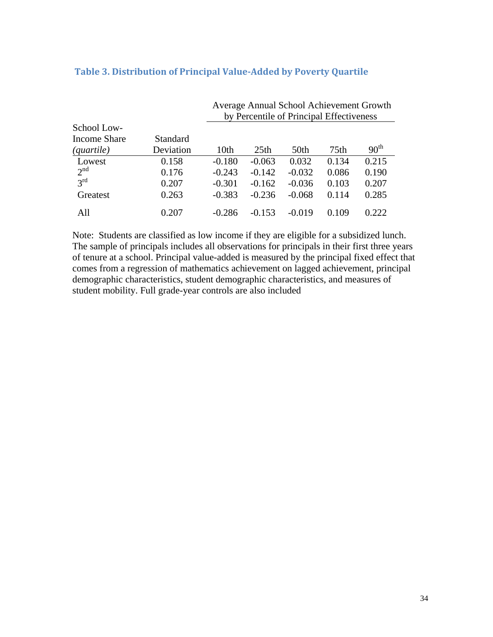|                          |           | Average Annual School Achievement Growth |                                          |          |       |                  |  |  |  |
|--------------------------|-----------|------------------------------------------|------------------------------------------|----------|-------|------------------|--|--|--|
|                          |           |                                          | by Percentile of Principal Effectiveness |          |       |                  |  |  |  |
| School Low-              |           |                                          |                                          |          |       |                  |  |  |  |
| Income Share             | Standard  |                                          |                                          |          |       |                  |  |  |  |
| $\left( quartile\right)$ | Deviation | 10th                                     | 25 <sub>th</sub>                         | 50th     | 75th  | 90 <sup>th</sup> |  |  |  |
| Lowest                   | 0.158     | $-0.180$                                 | $-0.063$                                 | 0.032    | 0.134 | 0.215            |  |  |  |
| 2 <sup>nd</sup>          | 0.176     | $-0.243$                                 | $-0.142$                                 | $-0.032$ | 0.086 | 0.190            |  |  |  |
| $3^{\text{rd}}$          | 0.207     | $-0.301$                                 | $-0.162$                                 | $-0.036$ | 0.103 | 0.207            |  |  |  |
| Greatest                 | 0.263     | $-0.383$                                 | $-0.236$                                 | $-0.068$ | 0.114 | 0.285            |  |  |  |
| All                      | 0.207     | $-0.286$                                 | $-0.153$                                 | $-0.019$ | 0.109 | 0.222            |  |  |  |

# **Table 3. Distribution of Principal ValueAdded by Poverty Quartile**

Note: Students are classified as low income if they are eligible for a subsidized lunch. The sample of principals includes all observations for principals in their first three years of tenure at a school. Principal value-added is measured by the principal fixed effect that comes from a regression of mathematics achievement on lagged achievement, principal demographic characteristics, student demographic characteristics, and measures of student mobility. Full grade-year controls are also included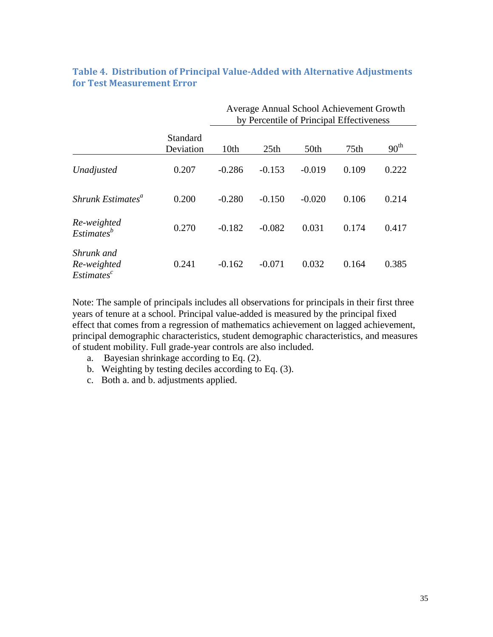|                                                     |                       | Average Annual School Achievement Growth<br>by Percentile of Principal Effectiveness |                  |          |       |                  |  |
|-----------------------------------------------------|-----------------------|--------------------------------------------------------------------------------------|------------------|----------|-------|------------------|--|
|                                                     | Standard<br>Deviation | 10th                                                                                 | 25 <sub>th</sub> | 50th     | 75th  | 90 <sup>th</sup> |  |
| Unadjusted                                          | 0.207                 | $-0.286$                                                                             | $-0.153$         | $-0.019$ | 0.109 | 0.222            |  |
| Shrunk Estimates <sup>a</sup>                       | 0.200                 | $-0.280$                                                                             | $-0.150$         | $-0.020$ | 0.106 | 0.214            |  |
| Re-weighted<br>Estimates <sup>b</sup>               | 0.270                 | $-0.182$                                                                             | $-0.082$         | 0.031    | 0.174 | 0.417            |  |
| Shrunk and<br>Re-weighted<br>Estimates <sup>c</sup> | 0.241                 | $-0.162$                                                                             | $-0.071$         | 0.032    | 0.164 | 0.385            |  |

# **Table 4. Distribution of Principal ValueAdded with Alternative Adjustments for Test Measurement Error**

Note: The sample of principals includes all observations for principals in their first three years of tenure at a school. Principal value-added is measured by the principal fixed effect that comes from a regression of mathematics achievement on lagged achievement, principal demographic characteristics, student demographic characteristics, and measures of student mobility. Full grade-year controls are also included.

- a. Bayesian shrinkage according to Eq. (2).
- b. Weighting by testing deciles according to Eq. (3).
- c. Both a. and b. adjustments applied.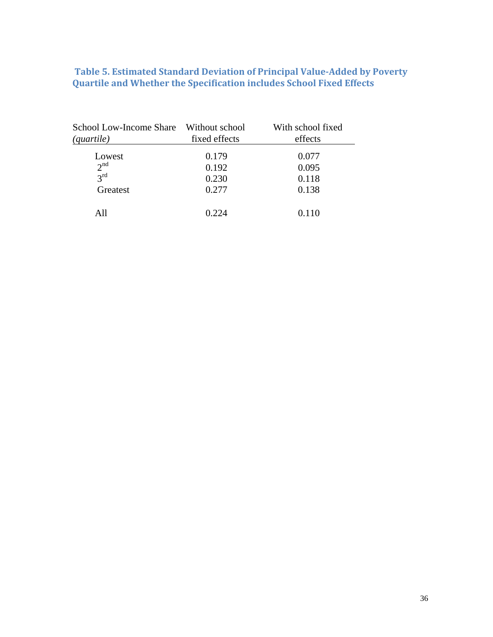### **Table 5. Estimated Standard Deviation of Principal ValueAdded by Poverty Quartile and Whether the Specification includes School Fixed Effects**

| School Low-Income Share Without school<br><i>(quartile)</i> | fixed effects | With school fixed<br>effects |
|-------------------------------------------------------------|---------------|------------------------------|
| Lowest                                                      | 0.179         | 0.077                        |
| 2 <sup>nd</sup>                                             | 0.192         | 0.095                        |
| $2^{\text{rd}}$                                             | 0.230         | 0.118                        |
| Greatest                                                    | 0.277         | 0.138                        |
| A11                                                         | በ 224         | 0.110                        |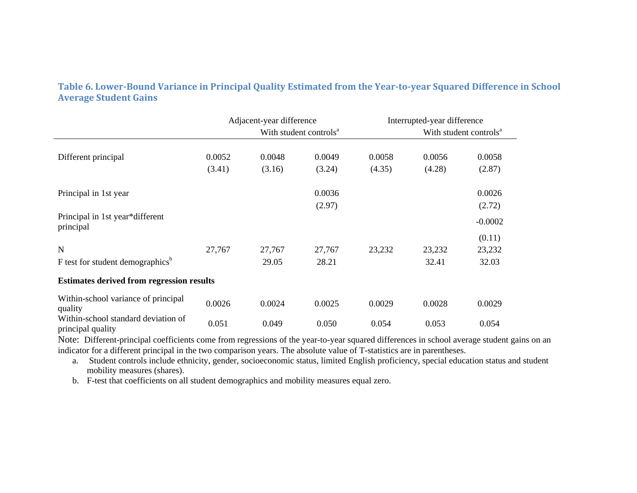Table 6. Lower-Bound Variance in Principal Quality Estimated from the Year-to-year Squared Difference in School **Average Student Gains**

|                                                          | Adjacent-year difference |        | Interrupted-year difference        |        |        |                                    |  |
|----------------------------------------------------------|--------------------------|--------|------------------------------------|--------|--------|------------------------------------|--|
|                                                          |                          |        | With student controls <sup>a</sup> |        |        | With student controls <sup>a</sup> |  |
|                                                          |                          |        |                                    |        |        |                                    |  |
| Different principal                                      | 0.0052                   | 0.0048 | 0.0049                             | 0.0058 | 0.0056 | 0.0058                             |  |
|                                                          | (3.41)                   | (3.16) | (3.24)                             | (4.35) | (4.28) | (2.87)                             |  |
| Principal in 1st year                                    |                          |        | 0.0036                             |        |        | 0.0026                             |  |
|                                                          |                          |        | (2.97)                             |        |        | (2.72)                             |  |
| Principal in 1st year*different<br>principal             |                          |        |                                    |        |        | $-0.0002$                          |  |
|                                                          |                          |        |                                    |        |        | (0.11)                             |  |
| N                                                        | 27,767                   | 27,767 | 27,767                             | 23,232 | 23,232 | 23,232                             |  |
| F test for student demographics <sup>b</sup>             |                          | 29.05  | 28.21                              |        | 32.41  | 32.03                              |  |
| <b>Estimates derived from regression results</b>         |                          |        |                                    |        |        |                                    |  |
| Within-school variance of principal<br>quality           | 0.0026                   | 0.0024 | 0.0025                             | 0.0029 | 0.0028 | 0.0029                             |  |
| Within-school standard deviation of<br>principal quality | 0.051                    | 0.049  | 0.050                              | 0.054  | 0.053  | 0.054                              |  |

Note: Different-principal coefficients come from regressions of the year-to-year squared differences in school average student gains on an indicator for a different principal in the two comparison years. The absolute value of T-statistics are in parentheses.

a. Student controls include ethnicity, gender, socioeconomic status, limited English proficiency, special education status and student mobility measures (shares).

b. F-test that coefficients on all student demographics and mobility measures equal zero.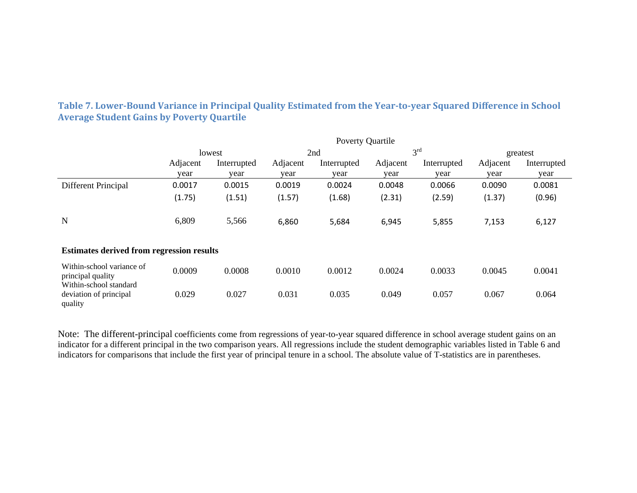|                                                                          | Poverty Quartile |             |          |             |          |                 |          |             |  |
|--------------------------------------------------------------------------|------------------|-------------|----------|-------------|----------|-----------------|----------|-------------|--|
|                                                                          |                  | lowest      |          | 2nd         |          | 3 <sup>rd</sup> |          | greatest    |  |
|                                                                          | Adjacent         | Interrupted | Adjacent | Interrupted | Adjacent | Interrupted     | Adjacent | Interrupted |  |
|                                                                          | vear             | year        | vear     | year        | year     | year            | year     | year        |  |
| Different Principal                                                      | 0.0017           | 0.0015      | 0.0019   | 0.0024      | 0.0048   | 0.0066          | 0.0090   | 0.0081      |  |
|                                                                          | (1.75)           | (1.51)      | (1.57)   | (1.68)      | (2.31)   | (2.59)          | (1.37)   | (0.96)      |  |
| N                                                                        | 6,809            | 5,566       | 6,860    | 5,684       | 6,945    | 5,855           | 7,153    | 6,127       |  |
| <b>Estimates derived from regression results</b>                         |                  |             |          |             |          |                 |          |             |  |
| Within-school variance of<br>principal quality<br>Within-school standard | 0.0009           | 0.0008      | 0.0010   | 0.0012      | 0.0024   | 0.0033          | 0.0045   | 0.0041      |  |
| deviation of principal<br>quality                                        | 0.029            | 0.027       | 0.031    | 0.035       | 0.049    | 0.057           | 0.067    | 0.064       |  |

Table 7. Lower-Bound Variance in Principal Quality Estimated from the Year-to-year Squared Difference in School **Average Student Gains by Poverty Quartile**

Note: The different-principal coefficients come from regressions of year-to-year squared difference in school average student gains on an indicator for a different principal in the two comparison years. All regressions include the student demographic variables listed in Table 6 and indicators for comparisons that include the first year of principal tenure in a school. The absolute value of T-statistics are in parentheses.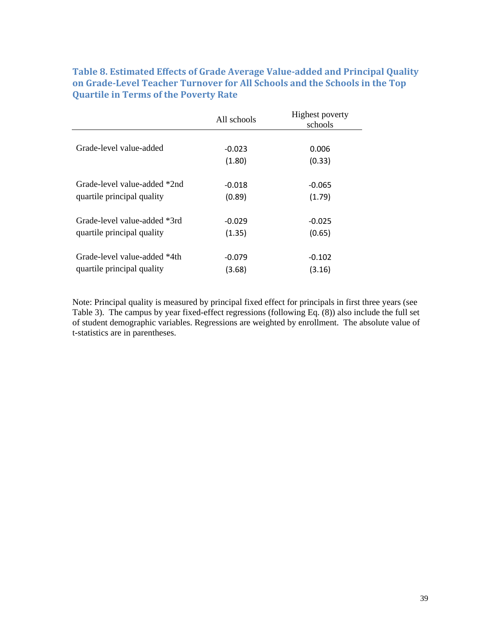# **Table 8. Estimated Effects of Grade Average Valueadded and Principal Quality on GradeLevel Teacher Turnover for All Schools and the Schools in the Top Quartile in Terms of the Poverty Rate**

|                              | All schools | <b>Highest poverty</b><br>schools |
|------------------------------|-------------|-----------------------------------|
|                              |             |                                   |
| Grade-level value-added      | $-0.023$    | 0.006                             |
|                              | (1.80)      | (0.33)                            |
|                              |             |                                   |
| Grade-level value-added *2nd | $-0.018$    | $-0.065$                          |
| quartile principal quality   | (0.89)      | (1.79)                            |
|                              |             |                                   |
| Grade-level value-added *3rd | $-0.029$    | $-0.025$                          |
| quartile principal quality   | (1.35)      | (0.65)                            |
|                              |             |                                   |
| Grade-level value-added *4th | $-0.079$    | $-0.102$                          |
| quartile principal quality   | (3.68)      | (3.16)                            |

Note: Principal quality is measured by principal fixed effect for principals in first three years (see Table 3). The campus by year fixed-effect regressions (following Eq. (8)) also include the full set of student demographic variables. Regressions are weighted by enrollment. The absolute value of t-statistics are in parentheses.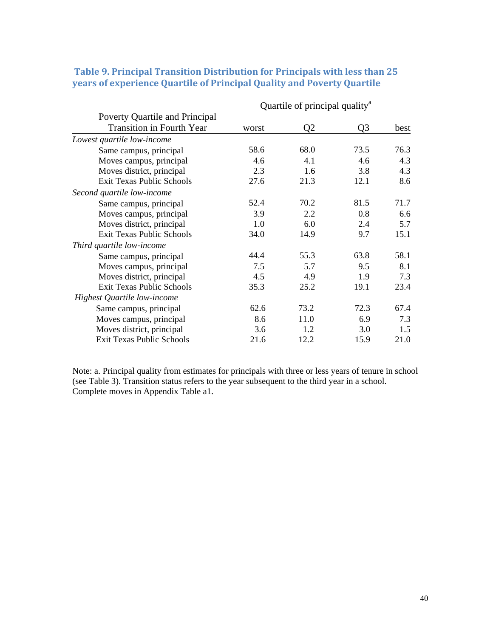|                                  | Quartile of principal quality <sup>a</sup> |                |                |      |
|----------------------------------|--------------------------------------------|----------------|----------------|------|
| Poverty Quartile and Principal   |                                            |                |                |      |
| <b>Transition in Fourth Year</b> | worst                                      | Q <sub>2</sub> | Q <sub>3</sub> | best |
| Lowest quartile low-income       |                                            |                |                |      |
| Same campus, principal           | 58.6                                       | 68.0           | 73.5           | 76.3 |
| Moves campus, principal          | 4.6                                        | 4.1            | 4.6            | 4.3  |
| Moves district, principal        | 2.3                                        | 1.6            | 3.8            | 4.3  |
| <b>Exit Texas Public Schools</b> | 27.6                                       | 21.3           | 12.1           | 8.6  |
| Second quartile low-income       |                                            |                |                |      |
| Same campus, principal           | 52.4                                       | 70.2           | 81.5           | 71.7 |
| Moves campus, principal          | 3.9                                        | 2.2            | 0.8            | 6.6  |
| Moves district, principal        | 1.0                                        | 6.0            | 2.4            | 5.7  |
| <b>Exit Texas Public Schools</b> | 34.0                                       | 14.9           | 9.7            | 15.1 |
| Third quartile low-income        |                                            |                |                |      |
| Same campus, principal           | 44.4                                       | 55.3           | 63.8           | 58.1 |
| Moves campus, principal          | 7.5                                        | 5.7            | 9.5            | 8.1  |
| Moves district, principal        | 4.5                                        | 4.9            | 1.9            | 7.3  |
| <b>Exit Texas Public Schools</b> | 35.3                                       | 25.2           | 19.1           | 23.4 |
| Highest Quartile low-income      |                                            |                |                |      |
| Same campus, principal           | 62.6                                       | 73.2           | 72.3           | 67.4 |
| Moves campus, principal          | 8.6                                        | 11.0           | 6.9            | 7.3  |
| Moves district, principal        | 3.6                                        | 1.2            | 3.0            | 1.5  |
| <b>Exit Texas Public Schools</b> | 21.6                                       | 12.2           | 15.9           | 21.0 |

# **Table 9. Principal Transition Distribution for Principals with less than 25 years of experience Quartile of Principal Quality and Poverty Quartile**

Note: a. Principal quality from estimates for principals with three or less years of tenure in school (see Table 3). Transition status refers to the year subsequent to the third year in a school. Complete moves in Appendix Table a1.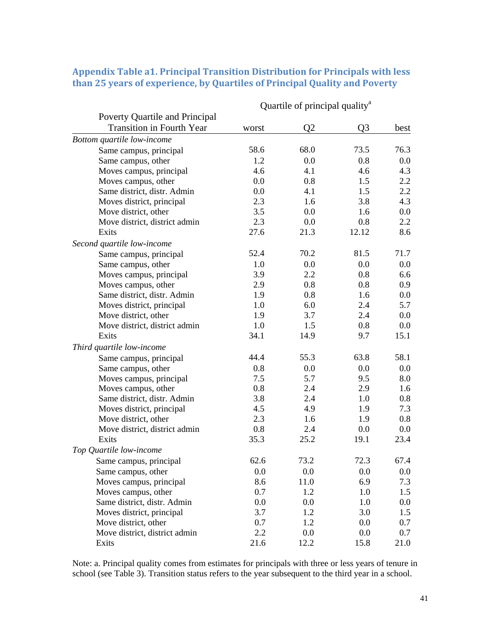|                                  | Quartile of principal quality <sup>a</sup> |                |                |      |  |
|----------------------------------|--------------------------------------------|----------------|----------------|------|--|
| Poverty Quartile and Principal   |                                            |                |                |      |  |
| <b>Transition in Fourth Year</b> | worst                                      | Q <sub>2</sub> | Q <sub>3</sub> | best |  |
| Bottom quartile low-income       |                                            |                |                |      |  |
| Same campus, principal           | 58.6                                       | 68.0           | 73.5           | 76.3 |  |
| Same campus, other               | 1.2                                        | 0.0            | 0.8            | 0.0  |  |
| Moves campus, principal          | 4.6                                        | 4.1            | 4.6            | 4.3  |  |
| Moves campus, other              | 0.0                                        | 0.8            | 1.5            | 2.2  |  |
| Same district, distr. Admin      | 0.0                                        | 4.1            | 1.5            | 2.2  |  |
| Moves district, principal        | 2.3                                        | 1.6            | 3.8            | 4.3  |  |
| Move district, other             | 3.5                                        | 0.0            | 1.6            | 0.0  |  |
| Move district, district admin    | 2.3                                        | 0.0            | 0.8            | 2.2  |  |
| Exits                            | 27.6                                       | 21.3           | 12.12          | 8.6  |  |
| Second quartile low-income       |                                            |                |                |      |  |
| Same campus, principal           | 52.4                                       | 70.2           | 81.5           | 71.7 |  |
| Same campus, other               | 1.0                                        | 0.0            | 0.0            | 0.0  |  |
| Moves campus, principal          | 3.9                                        | 2.2            | 0.8            | 6.6  |  |
| Moves campus, other              | 2.9                                        | 0.8            | 0.8            | 0.9  |  |
| Same district, distr. Admin      | 1.9                                        | 0.8            | 1.6            | 0.0  |  |
| Moves district, principal        | 1.0                                        | 6.0            | 2.4            | 5.7  |  |
| Move district, other             | 1.9                                        | 3.7            | 2.4            | 0.0  |  |
| Move district, district admin    | 1.0                                        | 1.5            | 0.8            | 0.0  |  |
| Exits                            | 34.1                                       | 14.9           | 9.7            | 15.1 |  |
| Third quartile low-income        |                                            |                |                |      |  |
| Same campus, principal           | 44.4                                       | 55.3           | 63.8           | 58.1 |  |
| Same campus, other               | 0.8                                        | 0.0            | 0.0            | 0.0  |  |
| Moves campus, principal          | 7.5                                        | 5.7            | 9.5            | 8.0  |  |
| Moves campus, other              | 0.8                                        | 2.4            | 2.9            | 1.6  |  |
| Same district, distr. Admin      | 3.8                                        | 2.4            | 1.0            | 0.8  |  |
| Moves district, principal        | 4.5                                        | 4.9            | 1.9            | 7.3  |  |
| Move district, other             | 2.3                                        | 1.6            | 1.9            | 0.8  |  |
| Move district, district admin    | 0.8                                        | 2.4            | 0.0            | 0.0  |  |
| Exits                            | 35.3                                       | 25.2           | 19.1           | 23.4 |  |
| Top Quartile low-income          |                                            |                |                |      |  |
| Same campus, principal           | 62.6                                       | 73.2           | 72.3           | 67.4 |  |
| Same campus, other               | 0.0                                        | 0.0            | 0.0            | 0.0  |  |
| Moves campus, principal          | 8.6                                        | 11.0           | 6.9            | 7.3  |  |
| Moves campus, other              | 0.7                                        | 1.2            | 1.0            | 1.5  |  |
| Same district, distr. Admin      | 0.0                                        | 0.0            | 1.0            | 0.0  |  |
| Moves district, principal        | 3.7                                        | 1.2            | 3.0            | 1.5  |  |
| Move district, other             | 0.7                                        | 1.2            | 0.0            | 0.7  |  |
| Move district, district admin    | 2.2                                        | 0.0            | 0.0            | 0.7  |  |
| Exits                            | 21.6                                       | 12.2           | 15.8           | 21.0 |  |

# **Appendix Table a1. Principal Transition Distribution for Principals with less than 25 years of experience, by Quartiles of Principal Quality and Poverty**

Note: a. Principal quality comes from estimates for principals with three or less years of tenure in school (see Table 3). Transition status refers to the year subsequent to the third year in a school.